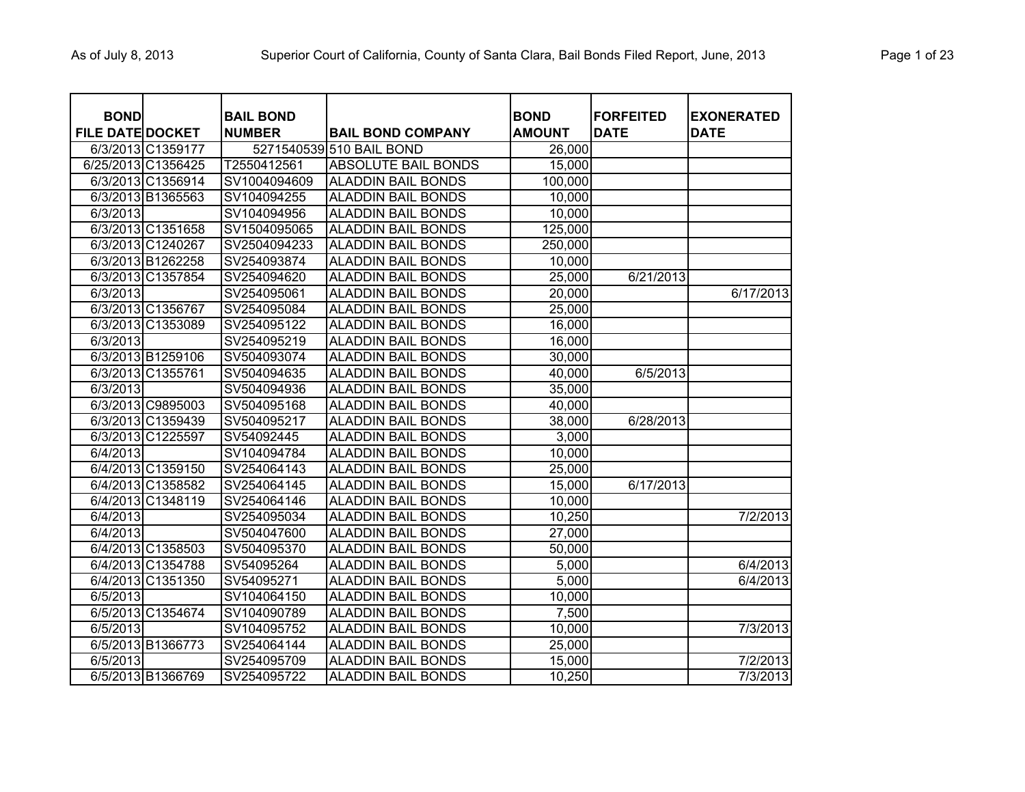| <b>BOND</b>             |                   | <b>BAIL BOND</b> |                            | <b>BOND</b>   | <b>FORFEITED</b> | <b>EXONERATED</b> |
|-------------------------|-------------------|------------------|----------------------------|---------------|------------------|-------------------|
| <b>FILE DATE DOCKET</b> |                   | <b>NUMBER</b>    | <b>BAIL BOND COMPANY</b>   | <b>AMOUNT</b> | <b>DATE</b>      | <b>DATE</b>       |
|                         | 6/3/2013 C1359177 |                  | 5271540539 510 BAIL BOND   | 26,000        |                  |                   |
| 6/25/2013 C1356425      |                   | T2550412561      | <b>ABSOLUTE BAIL BONDS</b> | 15,000        |                  |                   |
|                         | 6/3/2013 C1356914 | SV1004094609     | <b>ALADDIN BAIL BONDS</b>  | 100,000       |                  |                   |
|                         | 6/3/2013 B1365563 | SV104094255      | <b>ALADDIN BAIL BONDS</b>  | 10,000        |                  |                   |
| 6/3/2013                |                   | SV104094956      | <b>ALADDIN BAIL BONDS</b>  | 10,000        |                  |                   |
|                         | 6/3/2013 C1351658 | SV1504095065     | <b>ALADDIN BAIL BONDS</b>  | 125,000       |                  |                   |
|                         | 6/3/2013 C1240267 | SV2504094233     | <b>ALADDIN BAIL BONDS</b>  | 250,000       |                  |                   |
|                         | 6/3/2013 B1262258 | SV254093874      | <b>ALADDIN BAIL BONDS</b>  | 10,000        |                  |                   |
|                         | 6/3/2013 C1357854 | SV254094620      | <b>ALADDIN BAIL BONDS</b>  | 25,000        | 6/21/2013        |                   |
| 6/3/2013                |                   | SV254095061      | <b>ALADDIN BAIL BONDS</b>  | 20,000        |                  | 6/17/2013         |
|                         | 6/3/2013 C1356767 | SV254095084      | <b>ALADDIN BAIL BONDS</b>  | 25,000        |                  |                   |
|                         | 6/3/2013 C1353089 | SV254095122      | <b>ALADDIN BAIL BONDS</b>  | 16,000        |                  |                   |
| 6/3/2013                |                   | SV254095219      | <b>ALADDIN BAIL BONDS</b>  | 16,000        |                  |                   |
|                         | 6/3/2013 B1259106 | SV504093074      | <b>ALADDIN BAIL BONDS</b>  | 30,000        |                  |                   |
|                         | 6/3/2013 C1355761 | SV504094635      | <b>ALADDIN BAIL BONDS</b>  | 40,000        | 6/5/2013         |                   |
| 6/3/2013                |                   | SV504094936      | <b>ALADDIN BAIL BONDS</b>  | 35,000        |                  |                   |
|                         | 6/3/2013 C9895003 | SV504095168      | <b>ALADDIN BAIL BONDS</b>  | 40,000        |                  |                   |
|                         | 6/3/2013 C1359439 | SV504095217      | <b>ALADDIN BAIL BONDS</b>  | 38,000        | 6/28/2013        |                   |
|                         | 6/3/2013 C1225597 | SV54092445       | <b>ALADDIN BAIL BONDS</b>  | 3,000         |                  |                   |
| 6/4/2013                |                   | SV104094784      | <b>ALADDIN BAIL BONDS</b>  | 10,000        |                  |                   |
|                         | 6/4/2013 C1359150 | SV254064143      | <b>ALADDIN BAIL BONDS</b>  | 25,000        |                  |                   |
|                         | 6/4/2013 C1358582 | SV254064145      | <b>ALADDIN BAIL BONDS</b>  | 15,000        | 6/17/2013        |                   |
|                         | 6/4/2013 C1348119 | SV254064146      | <b>ALADDIN BAIL BONDS</b>  | 10,000        |                  |                   |
| 6/4/2013                |                   | SV254095034      | <b>ALADDIN BAIL BONDS</b>  | 10,250        |                  | 7/2/2013          |
| 6/4/2013                |                   | SV504047600      | <b>ALADDIN BAIL BONDS</b>  | 27,000        |                  |                   |
|                         | 6/4/2013 C1358503 | SV504095370      | <b>ALADDIN BAIL BONDS</b>  | 50,000        |                  |                   |
|                         | 6/4/2013 C1354788 | SV54095264       | <b>ALADDIN BAIL BONDS</b>  | 5,000         |                  | 6/4/2013          |
|                         | 6/4/2013 C1351350 | SV54095271       | <b>ALADDIN BAIL BONDS</b>  | 5,000         |                  | 6/4/2013          |
| 6/5/2013                |                   | SV104064150      | <b>ALADDIN BAIL BONDS</b>  | 10,000        |                  |                   |
|                         | 6/5/2013 C1354674 | SV104090789      | <b>ALADDIN BAIL BONDS</b>  | 7,500         |                  |                   |
| 6/5/2013                |                   | SV104095752      | <b>ALADDIN BAIL BONDS</b>  | 10,000        |                  | 7/3/2013          |
|                         | 6/5/2013 B1366773 | SV254064144      | <b>ALADDIN BAIL BONDS</b>  | 25,000        |                  |                   |
| 6/5/2013                |                   | SV254095709      | <b>ALADDIN BAIL BONDS</b>  | 15,000        |                  | 7/2/2013          |
|                         | 6/5/2013 B1366769 | SV254095722      | <b>ALADDIN BAIL BONDS</b>  | 10,250        |                  | 7/3/2013          |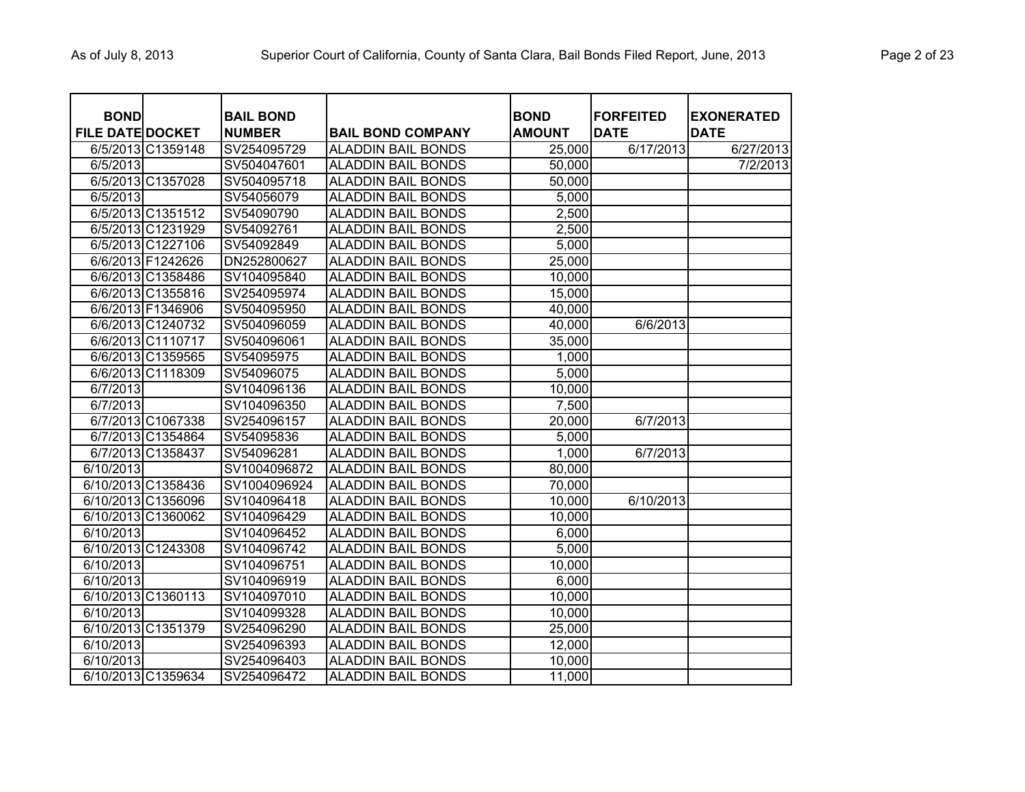| Page 2 of 23 |  |  |  |
|--------------|--|--|--|
|--------------|--|--|--|

| <b>BOND</b>             |                    | <b>BAIL BOND</b> |                           | <b>BOND</b>   | <b>FORFEITED</b> | <b>EXONERATED</b> |
|-------------------------|--------------------|------------------|---------------------------|---------------|------------------|-------------------|
| <b>FILE DATE DOCKET</b> |                    | <b>NUMBER</b>    | <b>BAIL BOND COMPANY</b>  | <b>AMOUNT</b> | <b>DATE</b>      | <b>DATE</b>       |
|                         | 6/5/2013 C1359148  | SV254095729      | <b>ALADDIN BAIL BONDS</b> | 25,000        | 6/17/2013        | 6/27/2013         |
| 6/5/2013                |                    | SV504047601      | <b>ALADDIN BAIL BONDS</b> | 50,000        |                  | 7/2/2013          |
|                         | 6/5/2013 C1357028  | SV504095718      | <b>ALADDIN BAIL BONDS</b> | 50,000        |                  |                   |
| 6/5/2013                |                    | SV54056079       | <b>ALADDIN BAIL BONDS</b> | 5,000         |                  |                   |
|                         | 6/5/2013 C1351512  | SV54090790       | <b>ALADDIN BAIL BONDS</b> | 2,500         |                  |                   |
|                         | 6/5/2013 C1231929  | SV54092761       | <b>ALADDIN BAIL BONDS</b> | 2,500         |                  |                   |
|                         | 6/5/2013 C1227106  | SV54092849       | <b>ALADDIN BAIL BONDS</b> | 5,000         |                  |                   |
|                         | 6/6/2013 F1242626  | DN252800627      | <b>ALADDIN BAIL BONDS</b> | 25,000        |                  |                   |
|                         | 6/6/2013 C1358486  | SV104095840      | <b>ALADDIN BAIL BONDS</b> | 10,000        |                  |                   |
|                         | 6/6/2013 C1355816  | SV254095974      | <b>ALADDIN BAIL BONDS</b> | 15,000        |                  |                   |
|                         | 6/6/2013 F1346906  | SV504095950      | <b>ALADDIN BAIL BONDS</b> | 40,000        |                  |                   |
|                         | 6/6/2013 C1240732  | SV504096059      | <b>ALADDIN BAIL BONDS</b> | 40,000        | 6/6/2013         |                   |
|                         | 6/6/2013 C1110717  | SV504096061      | <b>ALADDIN BAIL BONDS</b> | 35,000        |                  |                   |
|                         | 6/6/2013 C1359565  | SV54095975       | <b>ALADDIN BAIL BONDS</b> | 1,000         |                  |                   |
|                         | 6/6/2013 C1118309  | SV54096075       | <b>ALADDIN BAIL BONDS</b> | 5,000         |                  |                   |
| 6/7/2013                |                    | SV104096136      | <b>ALADDIN BAIL BONDS</b> | 10,000        |                  |                   |
| 6/7/2013                |                    | SV104096350      | <b>ALADDIN BAIL BONDS</b> | 7,500         |                  |                   |
|                         | 6/7/2013 C1067338  | SV254096157      | <b>ALADDIN BAIL BONDS</b> | 20,000        | 6/7/2013         |                   |
|                         | 6/7/2013 C1354864  | SV54095836       | <b>ALADDIN BAIL BONDS</b> | 5,000         |                  |                   |
|                         | 6/7/2013 C1358437  | SV54096281       | <b>ALADDIN BAIL BONDS</b> | 1,000         | 6/7/2013         |                   |
| 6/10/2013               |                    | SV1004096872     | <b>ALADDIN BAIL BONDS</b> | 80,000        |                  |                   |
|                         | 6/10/2013 C1358436 | SV1004096924     | <b>ALADDIN BAIL BONDS</b> | 70,000        |                  |                   |
|                         | 6/10/2013 C1356096 | SV104096418      | <b>ALADDIN BAIL BONDS</b> | 10,000        | 6/10/2013        |                   |
|                         | 6/10/2013 C1360062 | SV104096429      | <b>ALADDIN BAIL BONDS</b> | 10,000        |                  |                   |
| 6/10/2013               |                    | SV104096452      | <b>ALADDIN BAIL BONDS</b> | 6,000         |                  |                   |
|                         | 6/10/2013 C1243308 | SV104096742      | <b>ALADDIN BAIL BONDS</b> | 5,000         |                  |                   |
| 6/10/2013               |                    | SV104096751      | <b>ALADDIN BAIL BONDS</b> | 10,000        |                  |                   |
| $\overline{6/10/2013}$  |                    | SV104096919      | <b>ALADDIN BAIL BONDS</b> | 6,000         |                  |                   |
|                         | 6/10/2013 C1360113 | SV104097010      | <b>ALADDIN BAIL BONDS</b> | 10,000        |                  |                   |
| 6/10/2013               |                    | SV104099328      | <b>ALADDIN BAIL BONDS</b> | 10,000        |                  |                   |
|                         | 6/10/2013 C1351379 | SV254096290      | <b>ALADDIN BAIL BONDS</b> | 25,000        |                  |                   |
| 6/10/2013               |                    | SV254096393      | <b>ALADDIN BAIL BONDS</b> | 12,000        |                  |                   |
| 6/10/2013               |                    | SV254096403      | <b>ALADDIN BAIL BONDS</b> | 10,000        |                  |                   |
|                         | 6/10/2013 C1359634 | SV254096472      | <b>ALADDIN BAIL BONDS</b> | 11,000        |                  |                   |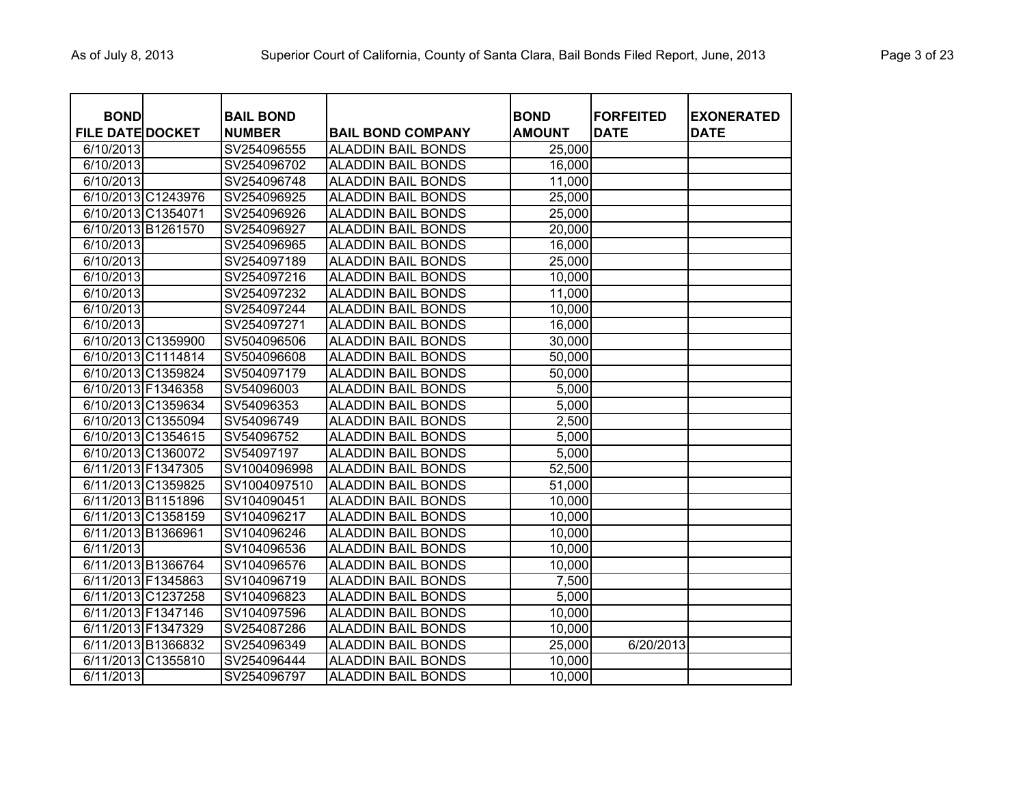| <b>BOND</b>             | <b>BAIL BOND</b> |                           | <b>BOND</b>   | <b>FORFEITED</b> | <b>EXONERATED</b> |
|-------------------------|------------------|---------------------------|---------------|------------------|-------------------|
| <b>FILE DATE DOCKET</b> | <b>NUMBER</b>    | <b>BAIL BOND COMPANY</b>  | <b>AMOUNT</b> | <b>DATE</b>      | <b>DATE</b>       |
| 6/10/2013               | SV254096555      | <b>ALADDIN BAIL BONDS</b> | 25,000        |                  |                   |
| 6/10/2013               | SV254096702      | <b>ALADDIN BAIL BONDS</b> | 16,000        |                  |                   |
| 6/10/2013               | SV254096748      | <b>ALADDIN BAIL BONDS</b> | 11,000        |                  |                   |
| 6/10/2013 C1243976      | SV254096925      | <b>ALADDIN BAIL BONDS</b> | 25,000        |                  |                   |
| 6/10/2013 C1354071      | SV254096926      | <b>ALADDIN BAIL BONDS</b> | 25,000        |                  |                   |
| 6/10/2013 B1261570      | SV254096927      | <b>ALADDIN BAIL BONDS</b> | 20,000        |                  |                   |
| 6/10/2013               | SV254096965      | <b>ALADDIN BAIL BONDS</b> | 16,000        |                  |                   |
| 6/10/2013               | SV254097189      | <b>ALADDIN BAIL BONDS</b> | 25,000        |                  |                   |
| 6/10/2013               | SV254097216      | <b>ALADDIN BAIL BONDS</b> | 10,000        |                  |                   |
| 6/10/2013               | SV254097232      | <b>ALADDIN BAIL BONDS</b> | 11,000        |                  |                   |
| 6/10/2013               | SV254097244      | <b>ALADDIN BAIL BONDS</b> | 10,000        |                  |                   |
| 6/10/2013               | SV254097271      | <b>ALADDIN BAIL BONDS</b> | 16,000        |                  |                   |
| 6/10/2013 C1359900      | SV504096506      | <b>ALADDIN BAIL BONDS</b> | 30,000        |                  |                   |
| 6/10/2013 C1114814      | SV504096608      | <b>ALADDIN BAIL BONDS</b> | 50,000        |                  |                   |
| 6/10/2013 C1359824      | SV504097179      | <b>ALADDIN BAIL BONDS</b> | 50,000        |                  |                   |
| 6/10/2013 F1346358      | SV54096003       | <b>ALADDIN BAIL BONDS</b> | 5,000         |                  |                   |
| 6/10/2013 C1359634      | SV54096353       | <b>ALADDIN BAIL BONDS</b> | 5,000         |                  |                   |
| 6/10/2013 C1355094      | SV54096749       | <b>ALADDIN BAIL BONDS</b> | 2,500         |                  |                   |
| 6/10/2013 C1354615      | SV54096752       | <b>ALADDIN BAIL BONDS</b> | 5,000         |                  |                   |
| 6/10/2013 C1360072      | SV54097197       | <b>ALADDIN BAIL BONDS</b> | 5,000         |                  |                   |
| 6/11/2013 F1347305      | SV1004096998     | <b>ALADDIN BAIL BONDS</b> | 52,500        |                  |                   |
| 6/11/2013 C1359825      | SV1004097510     | <b>ALADDIN BAIL BONDS</b> | 51,000        |                  |                   |
| 6/11/2013 B1151896      | SV104090451      | <b>ALADDIN BAIL BONDS</b> | 10,000        |                  |                   |
| 6/11/2013 C1358159      | SV104096217      | <b>ALADDIN BAIL BONDS</b> | 10,000        |                  |                   |
| 6/11/2013 B1366961      | SV104096246      | <b>ALADDIN BAIL BONDS</b> | 10,000        |                  |                   |
| 6/11/2013               | SV104096536      | <b>ALADDIN BAIL BONDS</b> | 10,000        |                  |                   |
| 6/11/2013 B1366764      | SV104096576      | <b>ALADDIN BAIL BONDS</b> | 10,000        |                  |                   |
| 6/11/2013 F1345863      | SV104096719      | <b>ALADDIN BAIL BONDS</b> | 7,500         |                  |                   |
| 6/11/2013 C1237258      | SV104096823      | <b>ALADDIN BAIL BONDS</b> | 5,000         |                  |                   |
| 6/11/2013 F1347146      | SV104097596      | <b>ALADDIN BAIL BONDS</b> | 10,000        |                  |                   |
| 6/11/2013 F1347329      | SV254087286      | <b>ALADDIN BAIL BONDS</b> | 10,000        |                  |                   |
| 6/11/2013 B1366832      | SV254096349      | <b>ALADDIN BAIL BONDS</b> | 25,000        | 6/20/2013        |                   |
| 6/11/2013 C1355810      | SV254096444      | <b>ALADDIN BAIL BONDS</b> | 10,000        |                  |                   |
| 6/11/2013               | SV254096797      | <b>ALADDIN BAIL BONDS</b> | 10,000        |                  |                   |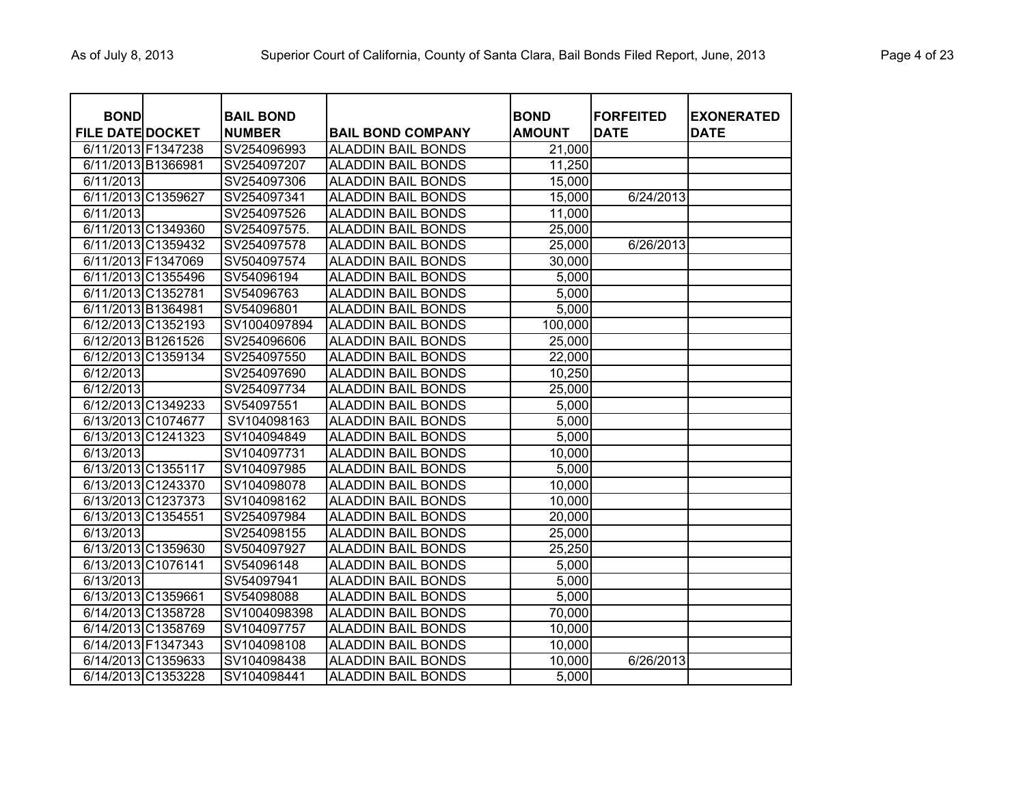| <b>BOND</b>             |                    | <b>BAIL BOND</b> |                           | <b>BOND</b>   | <b>FORFEITED</b> | <b>EXONERATED</b> |
|-------------------------|--------------------|------------------|---------------------------|---------------|------------------|-------------------|
| <b>FILE DATE DOCKET</b> |                    | <b>NUMBER</b>    | <b>BAIL BOND COMPANY</b>  | <b>AMOUNT</b> | <b>DATE</b>      | <b>DATE</b>       |
| 6/11/2013 F1347238      |                    | SV254096993      | <b>ALADDIN BAIL BONDS</b> | 21,000        |                  |                   |
| 6/11/2013 B1366981      |                    | SV254097207      | <b>ALADDIN BAIL BONDS</b> | 11,250        |                  |                   |
| 6/11/2013               |                    | SV254097306      | <b>ALADDIN BAIL BONDS</b> | 15,000        |                  |                   |
|                         | 6/11/2013 C1359627 | SV254097341      | <b>ALADDIN BAIL BONDS</b> | 15,000        | 6/24/2013        |                   |
| 6/11/2013               |                    | SV254097526      | <b>ALADDIN BAIL BONDS</b> | 11,000        |                  |                   |
|                         | 6/11/2013 C1349360 | SV254097575.     | <b>ALADDIN BAIL BONDS</b> | 25,000        |                  |                   |
|                         | 6/11/2013 C1359432 | SV254097578      | <b>ALADDIN BAIL BONDS</b> | 25,000        | 6/26/2013        |                   |
|                         | 6/11/2013 F1347069 | SV504097574      | <b>ALADDIN BAIL BONDS</b> | 30,000        |                  |                   |
|                         | 6/11/2013 C1355496 | SV54096194       | <b>ALADDIN BAIL BONDS</b> | 5,000         |                  |                   |
| 6/11/2013 C1352781      |                    | SV54096763       | <b>ALADDIN BAIL BONDS</b> | 5,000         |                  |                   |
| 6/11/2013 B1364981      |                    | SV54096801       | <b>ALADDIN BAIL BONDS</b> | 5,000         |                  |                   |
|                         | 6/12/2013 C1352193 | SV1004097894     | <b>ALADDIN BAIL BONDS</b> | 100,000       |                  |                   |
|                         | 6/12/2013 B1261526 | SV254096606      | <b>ALADDIN BAIL BONDS</b> | 25,000        |                  |                   |
|                         | 6/12/2013 C1359134 | SV254097550      | <b>ALADDIN BAIL BONDS</b> | 22,000        |                  |                   |
| 6/12/2013               |                    | SV254097690      | <b>ALADDIN BAIL BONDS</b> | 10,250        |                  |                   |
| 6/12/2013               |                    | SV254097734      | <b>ALADDIN BAIL BONDS</b> | 25,000        |                  |                   |
|                         | 6/12/2013 C1349233 | SV54097551       | <b>ALADDIN BAIL BONDS</b> | 5,000         |                  |                   |
|                         | 6/13/2013 C1074677 | SV104098163      | <b>ALADDIN BAIL BONDS</b> | 5,000         |                  |                   |
|                         | 6/13/2013 C1241323 | SV104094849      | <b>ALADDIN BAIL BONDS</b> | 5,000         |                  |                   |
| 6/13/2013               |                    | SV104097731      | <b>ALADDIN BAIL BONDS</b> | 10,000        |                  |                   |
|                         | 6/13/2013 C1355117 | SV104097985      | <b>ALADDIN BAIL BONDS</b> | 5,000         |                  |                   |
|                         | 6/13/2013 C1243370 | SV104098078      | <b>ALADDIN BAIL BONDS</b> | 10,000        |                  |                   |
|                         | 6/13/2013 C1237373 | SV104098162      | <b>ALADDIN BAIL BONDS</b> | 10,000        |                  |                   |
| 6/13/2013 C1354551      |                    | SV254097984      | <b>ALADDIN BAIL BONDS</b> | 20,000        |                  |                   |
| 6/13/2013               |                    | SV254098155      | <b>ALADDIN BAIL BONDS</b> | 25,000        |                  |                   |
|                         | 6/13/2013 C1359630 | SV504097927      | <b>ALADDIN BAIL BONDS</b> | 25,250        |                  |                   |
|                         | 6/13/2013 C1076141 | SV54096148       | <b>ALADDIN BAIL BONDS</b> | 5,000         |                  |                   |
| $\sqrt{6/13/2013}$      |                    | SV54097941       | <b>ALADDIN BAIL BONDS</b> | 5,000         |                  |                   |
| 6/13/2013 C1359661      |                    | SV54098088       | <b>ALADDIN BAIL BONDS</b> | 5,000         |                  |                   |
|                         | 6/14/2013 C1358728 | SV1004098398     | <b>ALADDIN BAIL BONDS</b> | 70,000        |                  |                   |
|                         | 6/14/2013 C1358769 | SV104097757      | <b>ALADDIN BAIL BONDS</b> | 10,000        |                  |                   |
| 6/14/2013 F1347343      |                    | SV104098108      | <b>ALADDIN BAIL BONDS</b> | 10,000        |                  |                   |
|                         | 6/14/2013 C1359633 | SV104098438      | <b>ALADDIN BAIL BONDS</b> | 10,000        | 6/26/2013        |                   |
|                         | 6/14/2013 C1353228 | SV104098441      | <b>ALADDIN BAIL BONDS</b> | 5,000         |                  |                   |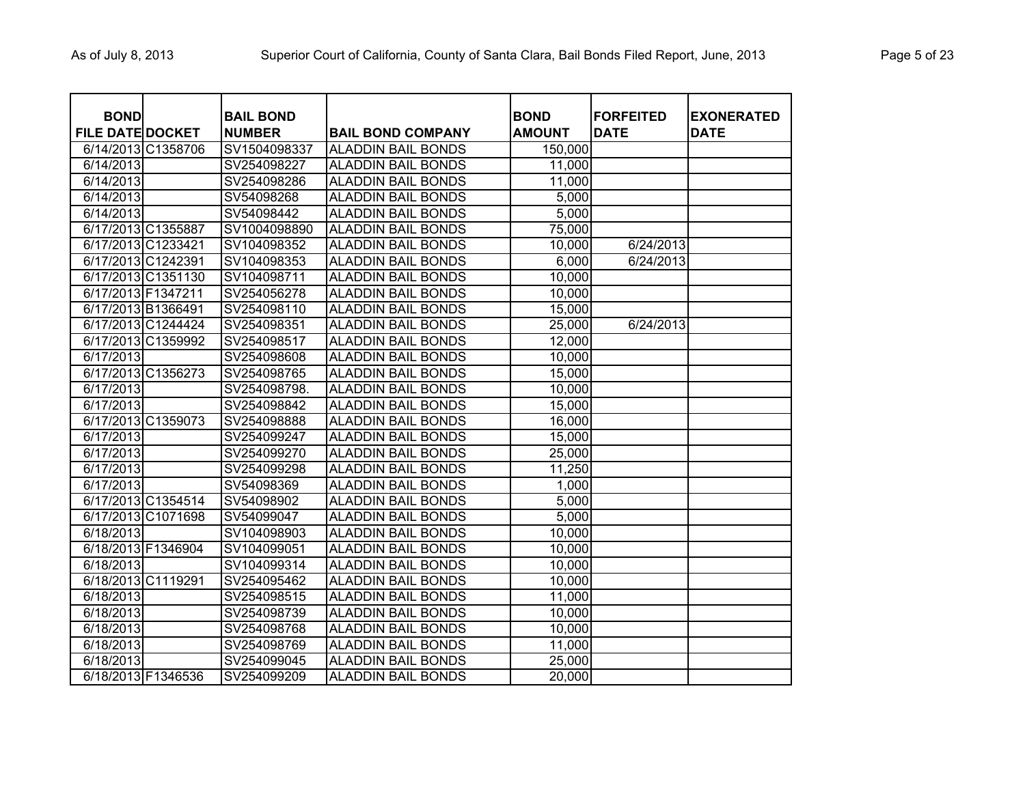| <b>BOND</b>             |                    | <b>BAIL BOND</b> |                           | <b>BOND</b>   | <b>FORFEITED</b> | <b>EXONERATED</b> |
|-------------------------|--------------------|------------------|---------------------------|---------------|------------------|-------------------|
| <b>FILE DATE DOCKET</b> |                    | <b>NUMBER</b>    | <b>BAIL BOND COMPANY</b>  | <b>AMOUNT</b> | <b>DATE</b>      | <b>DATE</b>       |
| 6/14/2013 C1358706      |                    | SV1504098337     | <b>ALADDIN BAIL BONDS</b> | 150,000       |                  |                   |
| 6/14/2013               |                    | SV254098227      | <b>ALADDIN BAIL BONDS</b> | 11,000        |                  |                   |
| 6/14/2013               |                    | SV254098286      | <b>ALADDIN BAIL BONDS</b> | 11,000        |                  |                   |
| 6/14/2013               |                    | SV54098268       | <b>ALADDIN BAIL BONDS</b> | 5,000         |                  |                   |
| 6/14/2013               |                    | SV54098442       | <b>ALADDIN BAIL BONDS</b> | 5,000         |                  |                   |
| 6/17/2013 C1355887      |                    | SV1004098890     | <b>ALADDIN BAIL BONDS</b> | 75,000        |                  |                   |
| 6/17/2013 C1233421      |                    | SV104098352      | <b>ALADDIN BAIL BONDS</b> | 10,000        | 6/24/2013        |                   |
| 6/17/2013 C1242391      |                    | SV104098353      | <b>ALADDIN BAIL BONDS</b> | 6,000         | 6/24/2013        |                   |
|                         | 6/17/2013 C1351130 | SV104098711      | <b>ALADDIN BAIL BONDS</b> | 10,000        |                  |                   |
| 6/17/2013 F1347211      |                    | SV254056278      | <b>ALADDIN BAIL BONDS</b> | 10,000        |                  |                   |
| 6/17/2013 B1366491      |                    | SV254098110      | <b>ALADDIN BAIL BONDS</b> | 15,000        |                  |                   |
|                         | 6/17/2013 C1244424 | SV254098351      | <b>ALADDIN BAIL BONDS</b> | 25,000        | 6/24/2013        |                   |
|                         | 6/17/2013 C1359992 | SV254098517      | <b>ALADDIN BAIL BONDS</b> | 12,000        |                  |                   |
| 6/17/2013               |                    | SV254098608      | <b>ALADDIN BAIL BONDS</b> | 10,000        |                  |                   |
|                         | 6/17/2013 C1356273 | SV254098765      | <b>ALADDIN BAIL BONDS</b> | 15,000        |                  |                   |
| 6/17/2013               |                    | SV254098798.     | <b>ALADDIN BAIL BONDS</b> | 10,000        |                  |                   |
| 6/17/2013               |                    | SV254098842      | <b>ALADDIN BAIL BONDS</b> | 15,000        |                  |                   |
|                         | 6/17/2013 C1359073 | SV254098888      | <b>ALADDIN BAIL BONDS</b> | 16,000        |                  |                   |
| 6/17/2013               |                    | SV254099247      | <b>ALADDIN BAIL BONDS</b> | 15,000        |                  |                   |
| 6/17/2013               |                    | SV254099270      | <b>ALADDIN BAIL BONDS</b> | 25,000        |                  |                   |
| 6/17/2013               |                    | SV254099298      | <b>ALADDIN BAIL BONDS</b> | 11,250        |                  |                   |
| 6/17/2013               |                    | SV54098369       | <b>ALADDIN BAIL BONDS</b> | 1,000         |                  |                   |
|                         | 6/17/2013 C1354514 | SV54098902       | <b>ALADDIN BAIL BONDS</b> | 5,000         |                  |                   |
|                         | 6/17/2013 C1071698 | SV54099047       | <b>ALADDIN BAIL BONDS</b> | 5,000         |                  |                   |
| 6/18/2013               |                    | SV104098903      | <b>ALADDIN BAIL BONDS</b> | 10,000        |                  |                   |
| 6/18/2013 F1346904      |                    | SV104099051      | <b>ALADDIN BAIL BONDS</b> | 10,000        |                  |                   |
| 6/18/2013               |                    | SV104099314      | <b>ALADDIN BAIL BONDS</b> | 10,000        |                  |                   |
| 6/18/2013 C1119291      |                    | SV254095462      | <b>ALADDIN BAIL BONDS</b> | 10,000        |                  |                   |
| 6/18/2013               |                    | SV254098515      | <b>ALADDIN BAIL BONDS</b> | 11,000        |                  |                   |
| 6/18/2013               |                    | SV254098739      | <b>ALADDIN BAIL BONDS</b> | 10,000        |                  |                   |
| 6/18/2013               |                    | SV254098768      | <b>ALADDIN BAIL BONDS</b> | 10,000        |                  |                   |
| 6/18/2013               |                    | SV254098769      | <b>ALADDIN BAIL BONDS</b> | 11,000        |                  |                   |
| 6/18/2013               |                    | SV254099045      | <b>ALADDIN BAIL BONDS</b> | 25,000        |                  |                   |
| 6/18/2013 F1346536      |                    | SV254099209      | <b>ALADDIN BAIL BONDS</b> | 20,000        |                  |                   |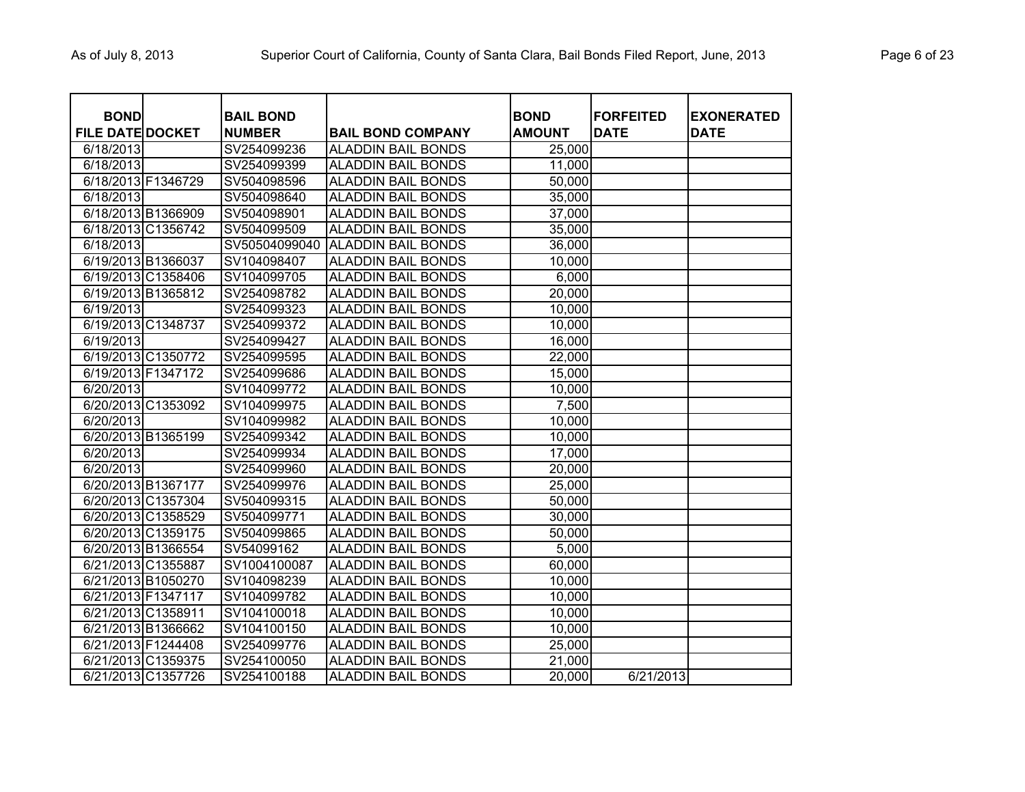| <b>BOND</b>             |                    | <b>BAIL BOND</b> |                           | <b>BOND</b>   | <b>FORFEITED</b> | <b>EXONERATED</b> |
|-------------------------|--------------------|------------------|---------------------------|---------------|------------------|-------------------|
| <b>FILE DATE DOCKET</b> |                    | <b>NUMBER</b>    | <b>BAIL BOND COMPANY</b>  | <b>AMOUNT</b> | <b>DATE</b>      | <b>DATE</b>       |
| 6/18/2013               |                    | SV254099236      | <b>ALADDIN BAIL BONDS</b> | 25,000        |                  |                   |
| 6/18/2013               |                    | SV254099399      | <b>ALADDIN BAIL BONDS</b> | 11,000        |                  |                   |
| 6/18/2013 F1346729      |                    | SV504098596      | <b>ALADDIN BAIL BONDS</b> | 50,000        |                  |                   |
| 6/18/2013               |                    | SV504098640      | <b>ALADDIN BAIL BONDS</b> | 35,000        |                  |                   |
| 6/18/2013 B1366909      |                    | SV504098901      | <b>ALADDIN BAIL BONDS</b> | 37,000        |                  |                   |
|                         | 6/18/2013 C1356742 | SV504099509      | <b>ALADDIN BAIL BONDS</b> | 35,000        |                  |                   |
| 6/18/2013               |                    | SV50504099040    | ALADDIN BAIL BONDS        | 36,000        |                  |                   |
| 6/19/2013 B1366037      |                    | SV104098407      | <b>ALADDIN BAIL BONDS</b> | 10,000        |                  |                   |
|                         | 6/19/2013 C1358406 | SV104099705      | <b>ALADDIN BAIL BONDS</b> | 6,000         |                  |                   |
|                         | 6/19/2013 B1365812 | SV254098782      | <b>ALADDIN BAIL BONDS</b> | 20,000        |                  |                   |
| 6/19/2013               |                    | SV254099323      | <b>ALADDIN BAIL BONDS</b> | 10,000        |                  |                   |
| 6/19/2013 C1348737      |                    | SV254099372      | <b>ALADDIN BAIL BONDS</b> | 10,000        |                  |                   |
| 6/19/2013               |                    | SV254099427      | <b>ALADDIN BAIL BONDS</b> | 16,000        |                  |                   |
|                         | 6/19/2013 C1350772 | SV254099595      | <b>ALADDIN BAIL BONDS</b> | 22,000        |                  |                   |
| 6/19/2013 F1347172      |                    | SV254099686      | <b>ALADDIN BAIL BONDS</b> | 15,000        |                  |                   |
| 6/20/2013               |                    | SV104099772      | <b>ALADDIN BAIL BONDS</b> | 10,000        |                  |                   |
|                         | 6/20/2013 C1353092 | SV104099975      | <b>ALADDIN BAIL BONDS</b> | 7,500         |                  |                   |
| 6/20/2013               |                    | SV104099982      | <b>ALADDIN BAIL BONDS</b> | 10,000        |                  |                   |
|                         | 6/20/2013 B1365199 | SV254099342      | <b>ALADDIN BAIL BONDS</b> | 10,000        |                  |                   |
| 6/20/2013               |                    | SV254099934      | <b>ALADDIN BAIL BONDS</b> | 17,000        |                  |                   |
| 6/20/2013               |                    | SV254099960      | <b>ALADDIN BAIL BONDS</b> | 20,000        |                  |                   |
|                         | 6/20/2013 B1367177 | SV254099976      | <b>ALADDIN BAIL BONDS</b> | 25,000        |                  |                   |
|                         | 6/20/2013 C1357304 | SV504099315      | <b>ALADDIN BAIL BONDS</b> | 50,000        |                  |                   |
|                         | 6/20/2013 C1358529 | SV504099771      | <b>ALADDIN BAIL BONDS</b> | 30,000        |                  |                   |
|                         | 6/20/2013 C1359175 | SV504099865      | <b>ALADDIN BAIL BONDS</b> | 50,000        |                  |                   |
|                         | 6/20/2013 B1366554 | SV54099162       | <b>ALADDIN BAIL BONDS</b> | 5,000         |                  |                   |
|                         | 6/21/2013 C1355887 | SV1004100087     | <b>ALADDIN BAIL BONDS</b> | 60,000        |                  |                   |
|                         | 6/21/2013 B1050270 | SV104098239      | <b>ALADDIN BAIL BONDS</b> | 10,000        |                  |                   |
| 6/21/2013 F1347117      |                    | SV104099782      | <b>ALADDIN BAIL BONDS</b> | 10,000        |                  |                   |
| 6/21/2013 C1358911      |                    | SV104100018      | <b>ALADDIN BAIL BONDS</b> | 10,000        |                  |                   |
|                         | 6/21/2013 B1366662 | SV104100150      | <b>ALADDIN BAIL BONDS</b> | 10,000        |                  |                   |
| 6/21/2013 F1244408      |                    | SV254099776      | <b>ALADDIN BAIL BONDS</b> | 25,000        |                  |                   |
| 6/21/2013 C1359375      |                    | SV254100050      | <b>ALADDIN BAIL BONDS</b> | 21,000        |                  |                   |
|                         | 6/21/2013 C1357726 | SV254100188      | <b>ALADDIN BAIL BONDS</b> | 20,000        | 6/21/2013        |                   |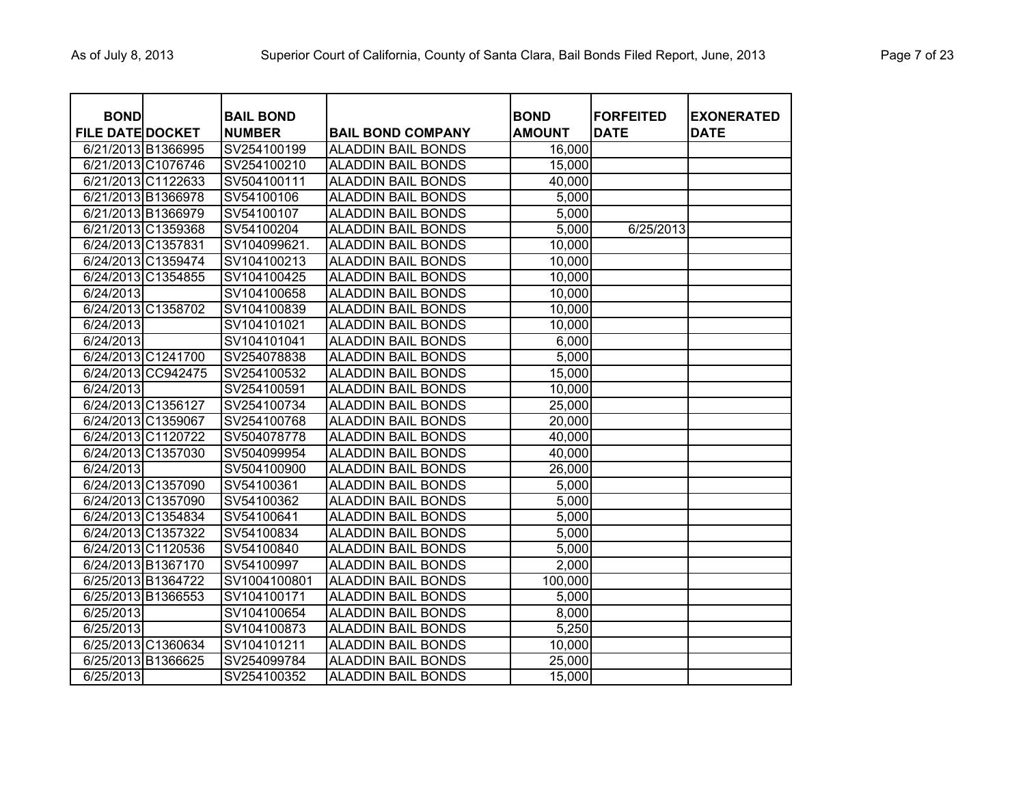| <b>BOND</b>             |                    | <b>BAIL BOND</b> |                           | <b>BOND</b>   | <b>FORFEITED</b> | <b>EXONERATED</b> |
|-------------------------|--------------------|------------------|---------------------------|---------------|------------------|-------------------|
| <b>FILE DATE DOCKET</b> |                    | <b>NUMBER</b>    | <b>BAIL BOND COMPANY</b>  | <b>AMOUNT</b> | <b>DATE</b>      | <b>DATE</b>       |
| 6/21/2013 B1366995      |                    | SV254100199      | <b>ALADDIN BAIL BONDS</b> | 16,000        |                  |                   |
|                         | 6/21/2013 C1076746 | SV254100210      | <b>ALADDIN BAIL BONDS</b> | 15,000        |                  |                   |
|                         | 6/21/2013 C1122633 | SV504100111      | <b>ALADDIN BAIL BONDS</b> | 40,000        |                  |                   |
| 6/21/2013 B1366978      |                    | SV54100106       | <b>ALADDIN BAIL BONDS</b> | 5,000         |                  |                   |
| 6/21/2013 B1366979      |                    | SV54100107       | <b>ALADDIN BAIL BONDS</b> | 5,000         |                  |                   |
|                         | 6/21/2013 C1359368 | SV54100204       | <b>ALADDIN BAIL BONDS</b> | 5,000         | 6/25/2013        |                   |
| 6/24/2013 C1357831      |                    | SV104099621.     | <b>ALADDIN BAIL BONDS</b> | 10,000        |                  |                   |
|                         | 6/24/2013 C1359474 | SV104100213      | <b>ALADDIN BAIL BONDS</b> | 10,000        |                  |                   |
|                         | 6/24/2013 C1354855 | SV104100425      | <b>ALADDIN BAIL BONDS</b> | 10,000        |                  |                   |
| 6/24/2013               |                    | SV104100658      | <b>ALADDIN BAIL BONDS</b> | 10,000        |                  |                   |
|                         | 6/24/2013 C1358702 | SV104100839      | <b>ALADDIN BAIL BONDS</b> | 10,000        |                  |                   |
| 6/24/2013               |                    | SV104101021      | <b>ALADDIN BAIL BONDS</b> | 10,000        |                  |                   |
| 6/24/2013               |                    | SV104101041      | <b>ALADDIN BAIL BONDS</b> | 6,000         |                  |                   |
|                         | 6/24/2013 C1241700 | SV254078838      | <b>ALADDIN BAIL BONDS</b> | 5,000         |                  |                   |
|                         | 6/24/2013 CC942475 | SV254100532      | <b>ALADDIN BAIL BONDS</b> | 15,000        |                  |                   |
| 6/24/2013               |                    | SV254100591      | <b>ALADDIN BAIL BONDS</b> | 10,000        |                  |                   |
| 6/24/2013 C1356127      |                    | SV254100734      | <b>ALADDIN BAIL BONDS</b> | 25,000        |                  |                   |
|                         | 6/24/2013 C1359067 | SV254100768      | <b>ALADDIN BAIL BONDS</b> | 20,000        |                  |                   |
|                         | 6/24/2013 C1120722 | SV504078778      | <b>ALADDIN BAIL BONDS</b> | 40,000        |                  |                   |
|                         | 6/24/2013 C1357030 | SV504099954      | <b>ALADDIN BAIL BONDS</b> | 40,000        |                  |                   |
| 6/24/2013               |                    | SV504100900      | <b>ALADDIN BAIL BONDS</b> | 26,000        |                  |                   |
|                         | 6/24/2013 C1357090 | SV54100361       | <b>ALADDIN BAIL BONDS</b> | 5,000         |                  |                   |
|                         | 6/24/2013 C1357090 | SV54100362       | <b>ALADDIN BAIL BONDS</b> | 5,000         |                  |                   |
|                         | 6/24/2013 C1354834 | SV54100641       | <b>ALADDIN BAIL BONDS</b> | 5,000         |                  |                   |
|                         | 6/24/2013 C1357322 | SV54100834       | <b>ALADDIN BAIL BONDS</b> | 5,000         |                  |                   |
|                         | 6/24/2013 C1120536 | SV54100840       | <b>ALADDIN BAIL BONDS</b> | 5,000         |                  |                   |
|                         | 6/24/2013 B1367170 | SV54100997       | <b>ALADDIN BAIL BONDS</b> | 2,000         |                  |                   |
|                         | 6/25/2013 B1364722 | SV1004100801     | <b>ALADDIN BAIL BONDS</b> | 100,000       |                  |                   |
|                         | 6/25/2013 B1366553 | SV104100171      | <b>ALADDIN BAIL BONDS</b> | 5,000         |                  |                   |
| 6/25/2013               |                    | SV104100654      | <b>ALADDIN BAIL BONDS</b> | 8,000         |                  |                   |
| 6/25/2013               |                    | SV104100873      | <b>ALADDIN BAIL BONDS</b> | 5,250         |                  |                   |
|                         | 6/25/2013 C1360634 | SV104101211      | <b>ALADDIN BAIL BONDS</b> | 10,000        |                  |                   |
|                         | 6/25/2013 B1366625 | SV254099784      | <b>ALADDIN BAIL BONDS</b> | 25,000        |                  |                   |
| 6/25/2013               |                    | SV254100352      | <b>ALADDIN BAIL BONDS</b> | 15,000        |                  |                   |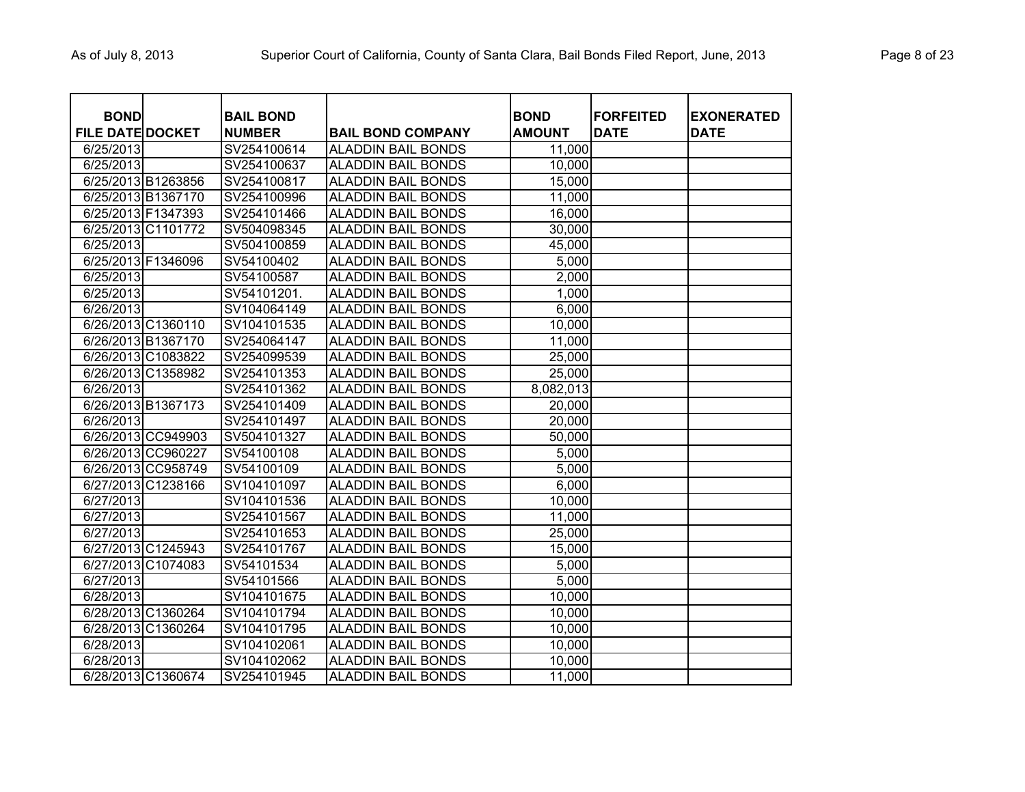| <b>BOND</b>             |                    | <b>BAIL BOND</b> |                           | <b>BOND</b>   | <b>FORFEITED</b> | <b>EXONERATED</b> |
|-------------------------|--------------------|------------------|---------------------------|---------------|------------------|-------------------|
| <b>FILE DATE DOCKET</b> |                    | <b>NUMBER</b>    | <b>BAIL BOND COMPANY</b>  | <b>AMOUNT</b> | <b>DATE</b>      | <b>DATE</b>       |
| 6/25/2013               |                    | SV254100614      | <b>ALADDIN BAIL BONDS</b> | 11,000        |                  |                   |
| 6/25/2013               |                    | SV254100637      | <b>ALADDIN BAIL BONDS</b> | 10,000        |                  |                   |
| 6/25/2013 B1263856      |                    | SV254100817      | <b>ALADDIN BAIL BONDS</b> | 15,000        |                  |                   |
| 6/25/2013 B1367170      |                    | SV254100996      | <b>ALADDIN BAIL BONDS</b> | 11,000        |                  |                   |
| 6/25/2013 F1347393      |                    | SV254101466      | <b>ALADDIN BAIL BONDS</b> | 16,000        |                  |                   |
| 6/25/2013 C1101772      |                    | SV504098345      | <b>ALADDIN BAIL BONDS</b> | 30,000        |                  |                   |
| 6/25/2013               |                    | SV504100859      | <b>ALADDIN BAIL BONDS</b> | 45,000        |                  |                   |
| 6/25/2013 F1346096      |                    | SV54100402       | <b>ALADDIN BAIL BONDS</b> | 5,000         |                  |                   |
| 6/25/2013               |                    | SV54100587       | <b>ALADDIN BAIL BONDS</b> | 2,000         |                  |                   |
| 6/25/2013               |                    | SV54101201.      | <b>ALADDIN BAIL BONDS</b> | 1,000         |                  |                   |
| 6/26/2013               |                    | SV104064149      | <b>ALADDIN BAIL BONDS</b> | 6,000         |                  |                   |
| 6/26/2013 C1360110      |                    | SV104101535      | <b>ALADDIN BAIL BONDS</b> | 10,000        |                  |                   |
| 6/26/2013 B1367170      |                    | SV254064147      | <b>ALADDIN BAIL BONDS</b> | 11,000        |                  |                   |
| 6/26/2013 C1083822      |                    | SV254099539      | <b>ALADDIN BAIL BONDS</b> | 25,000        |                  |                   |
| 6/26/2013 C1358982      |                    | SV254101353      | <b>ALADDIN BAIL BONDS</b> | 25,000        |                  |                   |
| 6/26/2013               |                    | SV254101362      | <b>ALADDIN BAIL BONDS</b> | 8,082,013     |                  |                   |
| 6/26/2013 B1367173      |                    | SV254101409      | <b>ALADDIN BAIL BONDS</b> | 20,000        |                  |                   |
| 6/26/2013               |                    | SV254101497      | <b>ALADDIN BAIL BONDS</b> | 20,000        |                  |                   |
|                         | 6/26/2013 CC949903 | SV504101327      | <b>ALADDIN BAIL BONDS</b> | 50,000        |                  |                   |
|                         | 6/26/2013 CC960227 | SV54100108       | <b>ALADDIN BAIL BONDS</b> | 5,000         |                  |                   |
|                         | 6/26/2013 CC958749 | SV54100109       | <b>ALADDIN BAIL BONDS</b> | 5,000         |                  |                   |
| 6/27/2013 C1238166      |                    | SV104101097      | <b>ALADDIN BAIL BONDS</b> | 6,000         |                  |                   |
| 6/27/2013               |                    | SV104101536      | <b>ALADDIN BAIL BONDS</b> | 10,000        |                  |                   |
| 6/27/2013               |                    | SV254101567      | <b>ALADDIN BAIL BONDS</b> | 11,000        |                  |                   |
| 6/27/2013               |                    | SV254101653      | <b>ALADDIN BAIL BONDS</b> | 25,000        |                  |                   |
| 6/27/2013 C1245943      |                    | SV254101767      | <b>ALADDIN BAIL BONDS</b> | 15,000        |                  |                   |
| 6/27/2013 C1074083      |                    | SV54101534       | <b>ALADDIN BAIL BONDS</b> | 5,000         |                  |                   |
| 6/27/2013               |                    | SV54101566       | <b>ALADDIN BAIL BONDS</b> | 5,000         |                  |                   |
| 6/28/2013               |                    | SV104101675      | <b>ALADDIN BAIL BONDS</b> | 10,000        |                  |                   |
| 6/28/2013 C1360264      |                    | SV104101794      | <b>ALADDIN BAIL BONDS</b> | 10,000        |                  |                   |
|                         | 6/28/2013 C1360264 | SV104101795      | <b>ALADDIN BAIL BONDS</b> | 10,000        |                  |                   |
| 6/28/2013               |                    | SV104102061      | <b>ALADDIN BAIL BONDS</b> | 10,000        |                  |                   |
| 6/28/2013               |                    | SV104102062      | <b>ALADDIN BAIL BONDS</b> | 10,000        |                  |                   |
|                         | 6/28/2013 C1360674 | SV254101945      | <b>ALADDIN BAIL BONDS</b> | 11,000        |                  |                   |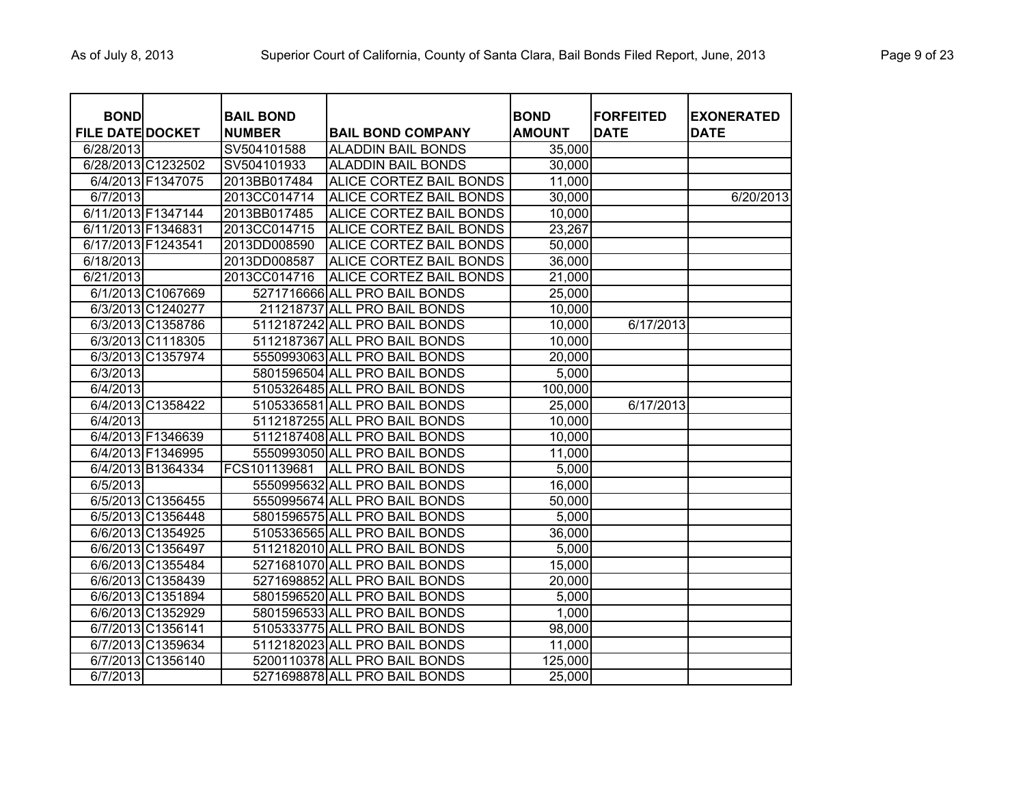| <b>BOND</b><br><b>FILE DATE DOCKET</b> |                   | <b>BAIL BOND</b><br><b>NUMBER</b> | <b>BAIL BOND COMPANY</b>       | <b>BOND</b><br><b>AMOUNT</b> | <b>FORFEITED</b><br><b>DATE</b> | <b>EXONERATED</b><br><b>DATE</b> |
|----------------------------------------|-------------------|-----------------------------------|--------------------------------|------------------------------|---------------------------------|----------------------------------|
| 6/28/2013                              |                   | SV504101588                       | <b>ALADDIN BAIL BONDS</b>      | 35,000                       |                                 |                                  |
| 6/28/2013 C1232502                     |                   | SV504101933                       | <b>ALADDIN BAIL BONDS</b>      | 30,000                       |                                 |                                  |
|                                        | 6/4/2013 F1347075 | 2013BB017484                      | ALICE CORTEZ BAIL BONDS        | 11,000                       |                                 |                                  |
| 6/7/2013                               |                   | 2013CC014714                      | ALICE CORTEZ BAIL BONDS        | 30,000                       |                                 | 6/20/2013                        |
| 6/11/2013 F1347144                     |                   | 2013BB017485                      | ALICE CORTEZ BAIL BONDS        | 10,000                       |                                 |                                  |
| 6/11/2013 F1346831                     |                   | 2013CC014715                      | <b>ALICE CORTEZ BAIL BONDS</b> | 23,267                       |                                 |                                  |
| 6/17/2013 F1243541                     |                   | 2013DD008590                      | ALICE CORTEZ BAIL BONDS        | 50,000                       |                                 |                                  |
| 6/18/2013                              |                   | 2013DD008587                      | ALICE CORTEZ BAIL BONDS        | 36,000                       |                                 |                                  |
| 6/21/2013                              |                   | 2013CC014716                      | ALICE CORTEZ BAIL BONDS        | 21,000                       |                                 |                                  |
|                                        | 6/1/2013 C1067669 |                                   | 5271716666 ALL PRO BAIL BONDS  | 25,000                       |                                 |                                  |
|                                        | 6/3/2013 C1240277 |                                   | 211218737 ALL PRO BAIL BONDS   | 10,000                       |                                 |                                  |
|                                        | 6/3/2013 C1358786 |                                   | 5112187242 ALL PRO BAIL BONDS  | 10,000                       | 6/17/2013                       |                                  |
|                                        | 6/3/2013 C1118305 |                                   | 5112187367 ALL PRO BAIL BONDS  | 10,000                       |                                 |                                  |
|                                        | 6/3/2013 C1357974 |                                   | 5550993063 ALL PRO BAIL BONDS  | 20,000                       |                                 |                                  |
| 6/3/2013                               |                   |                                   | 5801596504 ALL PRO BAIL BONDS  | 5,000                        |                                 |                                  |
| 6/4/2013                               |                   |                                   | 5105326485 ALL PRO BAIL BONDS  | 100,000                      |                                 |                                  |
|                                        | 6/4/2013 C1358422 |                                   | 5105336581 ALL PRO BAIL BONDS  | 25,000                       | 6/17/2013                       |                                  |
| 6/4/2013                               |                   |                                   | 5112187255 ALL PRO BAIL BONDS  | 10,000                       |                                 |                                  |
|                                        | 6/4/2013 F1346639 |                                   | 5112187408 ALL PRO BAIL BONDS  | 10,000                       |                                 |                                  |
|                                        | 6/4/2013 F1346995 |                                   | 5550993050 ALL PRO BAIL BONDS  | 11,000                       |                                 |                                  |
|                                        | 6/4/2013 B1364334 | FCS101139681                      | ALL PRO BAIL BONDS             | 5,000                        |                                 |                                  |
| 6/5/2013                               |                   |                                   | 5550995632 ALL PRO BAIL BONDS  | 16,000                       |                                 |                                  |
|                                        | 6/5/2013 C1356455 |                                   | 5550995674 ALL PRO BAIL BONDS  | 50,000                       |                                 |                                  |
|                                        | 6/5/2013 C1356448 |                                   | 5801596575 ALL PRO BAIL BONDS  | 5,000                        |                                 |                                  |
|                                        | 6/6/2013 C1354925 |                                   | 5105336565 ALL PRO BAIL BONDS  | 36,000                       |                                 |                                  |
|                                        | 6/6/2013 C1356497 |                                   | 5112182010 ALL PRO BAIL BONDS  | 5,000                        |                                 |                                  |
|                                        | 6/6/2013 C1355484 |                                   | 5271681070 ALL PRO BAIL BONDS  | 15,000                       |                                 |                                  |
|                                        | 6/6/2013 C1358439 |                                   | 5271698852 ALL PRO BAIL BONDS  | 20,000                       |                                 |                                  |
|                                        | 6/6/2013 C1351894 |                                   | 5801596520 ALL PRO BAIL BONDS  | 5,000                        |                                 |                                  |
|                                        | 6/6/2013 C1352929 |                                   | 5801596533 ALL PRO BAIL BONDS  | 1,000                        |                                 |                                  |
|                                        | 6/7/2013 C1356141 |                                   | 5105333775 ALL PRO BAIL BONDS  | 98,000                       |                                 |                                  |
|                                        | 6/7/2013 C1359634 |                                   | 5112182023 ALL PRO BAIL BONDS  | 11,000                       |                                 |                                  |
|                                        | 6/7/2013 C1356140 |                                   | 5200110378 ALL PRO BAIL BONDS  | 125,000                      |                                 |                                  |
| 6/7/2013                               |                   |                                   | 5271698878 ALL PRO BAIL BONDS  | 25,000                       |                                 |                                  |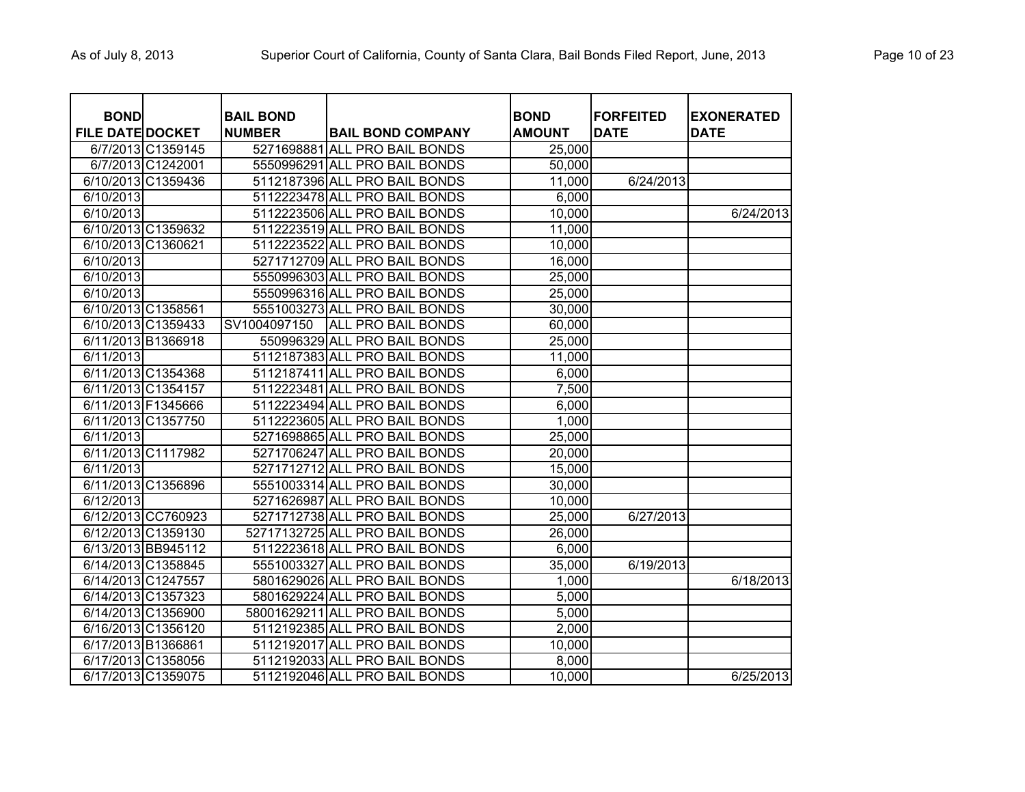| <b>BOND</b><br><b>FILE DATE DOCKET</b> |                    | <b>BAIL BOND</b><br><b>NUMBER</b> | <b>BAIL BOND COMPANY</b>       | <b>BOND</b><br><b>AMOUNT</b> | <b>FORFEITED</b><br><b>DATE</b> | <b>EXONERATED</b><br><b>DATE</b> |
|----------------------------------------|--------------------|-----------------------------------|--------------------------------|------------------------------|---------------------------------|----------------------------------|
|                                        | 6/7/2013 C1359145  |                                   | 5271698881 ALL PRO BAIL BONDS  | 25,000                       |                                 |                                  |
|                                        | 6/7/2013 C1242001  |                                   | 5550996291 ALL PRO BAIL BONDS  | 50,000                       |                                 |                                  |
|                                        | 6/10/2013 C1359436 |                                   | 5112187396 ALL PRO BAIL BONDS  | 11,000                       | 6/24/2013                       |                                  |
| 6/10/2013                              |                    |                                   | 5112223478 ALL PRO BAIL BONDS  | 6,000                        |                                 |                                  |
| 6/10/2013                              |                    |                                   | 5112223506 ALL PRO BAIL BONDS  | 10,000                       |                                 | 6/24/2013                        |
|                                        | 6/10/2013 C1359632 |                                   | 5112223519 ALL PRO BAIL BONDS  | 11,000                       |                                 |                                  |
|                                        | 6/10/2013 C1360621 |                                   | 5112223522 ALL PRO BAIL BONDS  | 10,000                       |                                 |                                  |
| 6/10/2013                              |                    |                                   | 5271712709 ALL PRO BAIL BONDS  | 16,000                       |                                 |                                  |
| 6/10/2013                              |                    |                                   | 5550996303 ALL PRO BAIL BONDS  | 25,000                       |                                 |                                  |
| 6/10/2013                              |                    |                                   | 5550996316 ALL PRO BAIL BONDS  | 25,000                       |                                 |                                  |
| 6/10/2013 C1358561                     |                    |                                   | 5551003273 ALL PRO BAIL BONDS  | 30,000                       |                                 |                                  |
|                                        | 6/10/2013 C1359433 | SV1004097150                      | ALL PRO BAIL BONDS             | 60,000                       |                                 |                                  |
|                                        | 6/11/2013 B1366918 |                                   | 550996329 ALL PRO BAIL BONDS   | 25,000                       |                                 |                                  |
| 6/11/2013                              |                    |                                   | 5112187383 ALL PRO BAIL BONDS  | 11,000                       |                                 |                                  |
|                                        | 6/11/2013 C1354368 |                                   | 5112187411 ALL PRO BAIL BONDS  | 6,000                        |                                 |                                  |
|                                        | 6/11/2013 C1354157 |                                   | 5112223481 ALL PRO BAIL BONDS  | 7,500                        |                                 |                                  |
|                                        | 6/11/2013 F1345666 |                                   | 5112223494 ALL PRO BAIL BONDS  | 6,000                        |                                 |                                  |
|                                        | 6/11/2013 C1357750 |                                   | 5112223605 ALL PRO BAIL BONDS  | 1,000                        |                                 |                                  |
| 6/11/2013                              |                    |                                   | 5271698865 ALL PRO BAIL BONDS  | 25,000                       |                                 |                                  |
|                                        | 6/11/2013 C1117982 |                                   | 5271706247 ALL PRO BAIL BONDS  | 20,000                       |                                 |                                  |
| 6/11/2013                              |                    |                                   | 5271712712 ALL PRO BAIL BONDS  | 15,000                       |                                 |                                  |
|                                        | 6/11/2013 C1356896 |                                   | 5551003314 ALL PRO BAIL BONDS  | 30,000                       |                                 |                                  |
| 6/12/2013                              |                    |                                   | 5271626987 ALL PRO BAIL BONDS  | 10,000                       |                                 |                                  |
|                                        | 6/12/2013 CC760923 |                                   | 5271712738 ALL PRO BAIL BONDS  | 25,000                       | 6/27/2013                       |                                  |
|                                        | 6/12/2013 C1359130 |                                   | 52717132725 ALL PRO BAIL BONDS | 26,000                       |                                 |                                  |
|                                        | 6/13/2013 BB945112 |                                   | 5112223618 ALL PRO BAIL BONDS  | 6,000                        |                                 |                                  |
|                                        | 6/14/2013 C1358845 |                                   | 5551003327 ALL PRO BAIL BONDS  | 35,000                       | 6/19/2013                       |                                  |
|                                        | 6/14/2013 C1247557 |                                   | 5801629026 ALL PRO BAIL BONDS  | 1,000                        |                                 | 6/18/2013                        |
|                                        | 6/14/2013 C1357323 |                                   | 5801629224 ALL PRO BAIL BONDS  | 5,000                        |                                 |                                  |
|                                        | 6/14/2013 C1356900 |                                   | 58001629211 ALL PRO BAIL BONDS | 5,000                        |                                 |                                  |
|                                        | 6/16/2013 C1356120 |                                   | 5112192385 ALL PRO BAIL BONDS  | 2,000                        |                                 |                                  |
| 6/17/2013 B1366861                     |                    |                                   | 5112192017 ALL PRO BAIL BONDS  | 10,000                       |                                 |                                  |
|                                        | 6/17/2013 C1358056 |                                   | 5112192033 ALL PRO BAIL BONDS  | 8,000                        |                                 |                                  |
|                                        | 6/17/2013 C1359075 |                                   | 5112192046 ALL PRO BAIL BONDS  | 10,000                       |                                 | 6/25/2013                        |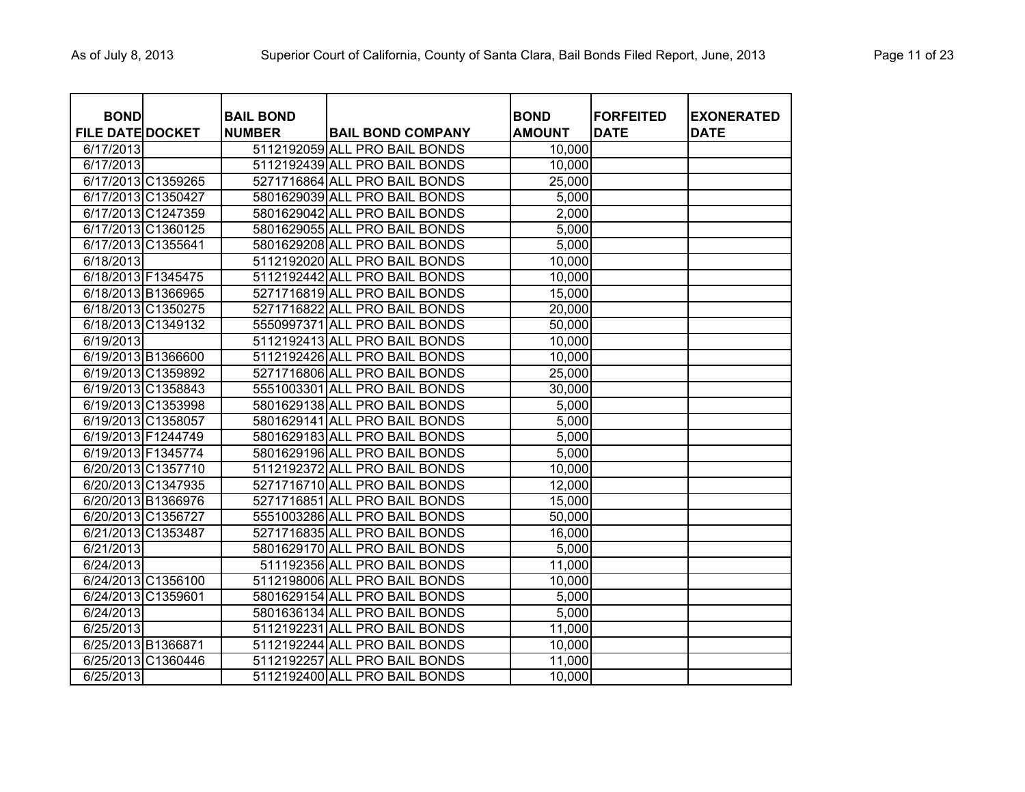| <b>BOND</b>             |                    | <b>BAIL BOND</b> |                               | <b>BOND</b>         | <b>FORFEITED</b> | <b>EXONERATED</b> |
|-------------------------|--------------------|------------------|-------------------------------|---------------------|------------------|-------------------|
| <b>FILE DATE DOCKET</b> |                    | <b>NUMBER</b>    | <b>BAIL BOND COMPANY</b>      | <b>AMOUNT</b>       | <b>DATE</b>      | <b>DATE</b>       |
| 6/17/2013               |                    |                  | 5112192059 ALL PRO BAIL BONDS | 10,000              |                  |                   |
| 6/17/2013               |                    |                  | 5112192439 ALL PRO BAIL BONDS | 10,000              |                  |                   |
|                         | 6/17/2013 C1359265 |                  | 5271716864 ALL PRO BAIL BONDS | 25,000              |                  |                   |
|                         | 6/17/2013 C1350427 |                  | 5801629039 ALL PRO BAIL BONDS | 5,000               |                  |                   |
|                         | 6/17/2013 C1247359 |                  | 5801629042 ALL PRO BAIL BONDS | 2,000               |                  |                   |
|                         | 6/17/2013 C1360125 |                  | 5801629055 ALL PRO BAIL BONDS | 5,000               |                  |                   |
| 6/17/2013 C1355641      |                    |                  | 5801629208 ALL PRO BAIL BONDS | 5,000               |                  |                   |
| 6/18/2013               |                    |                  | 5112192020 ALL PRO BAIL BONDS | 10,000              |                  |                   |
| 6/18/2013 F1345475      |                    |                  | 5112192442 ALL PRO BAIL BONDS | 10,000              |                  |                   |
|                         | 6/18/2013 B1366965 |                  | 5271716819 ALL PRO BAIL BONDS | 15,000              |                  |                   |
|                         | 6/18/2013 C1350275 |                  | 5271716822 ALL PRO BAIL BONDS | 20,000              |                  |                   |
|                         | 6/18/2013 C1349132 |                  | 5550997371 ALL PRO BAIL BONDS | 50,000              |                  |                   |
| 6/19/2013               |                    |                  | 5112192413 ALL PRO BAIL BONDS | 10,000              |                  |                   |
| 6/19/2013 B1366600      |                    |                  | 5112192426 ALL PRO BAIL BONDS | 10,000              |                  |                   |
|                         | 6/19/2013 C1359892 |                  | 5271716806 ALL PRO BAIL BONDS | 25,000              |                  |                   |
|                         | 6/19/2013 C1358843 |                  | 5551003301 ALL PRO BAIL BONDS | 30,000              |                  |                   |
|                         | 6/19/2013 C1353998 |                  | 5801629138 ALL PRO BAIL BONDS | 5,000               |                  |                   |
|                         | 6/19/2013 C1358057 |                  | 5801629141 ALL PRO BAIL BONDS | 5,000               |                  |                   |
| 6/19/2013 F1244749      |                    |                  | 5801629183 ALL PRO BAIL BONDS | 5,000               |                  |                   |
| 6/19/2013 F1345774      |                    |                  | 5801629196 ALL PRO BAIL BONDS | 5,000               |                  |                   |
|                         | 6/20/2013 C1357710 |                  | 5112192372 ALL PRO BAIL BONDS | 10,000              |                  |                   |
|                         | 6/20/2013 C1347935 |                  | 5271716710 ALL PRO BAIL BONDS | $\overline{12,000}$ |                  |                   |
|                         | 6/20/2013 B1366976 |                  | 5271716851 ALL PRO BAIL BONDS | 15,000              |                  |                   |
|                         | 6/20/2013 C1356727 |                  | 5551003286 ALL PRO BAIL BONDS | 50,000              |                  |                   |
|                         | 6/21/2013 C1353487 |                  | 5271716835 ALL PRO BAIL BONDS | 16,000              |                  |                   |
| 6/21/2013               |                    |                  | 5801629170 ALL PRO BAIL BONDS | 5,000               |                  |                   |
| 6/24/2013               |                    |                  | 511192356 ALL PRO BAIL BONDS  | 11,000              |                  |                   |
|                         | 6/24/2013 C1356100 |                  | 5112198006 ALL PRO BAIL BONDS | 10,000              |                  |                   |
| 6/24/2013 C1359601      |                    |                  | 5801629154 ALL PRO BAIL BONDS | 5,000               |                  |                   |
| 6/24/2013               |                    |                  | 5801636134 ALL PRO BAIL BONDS | 5,000               |                  |                   |
| 6/25/2013               |                    |                  | 5112192231 ALL PRO BAIL BONDS | 11,000              |                  |                   |
| 6/25/2013 B1366871      |                    |                  | 5112192244 ALL PRO BAIL BONDS | 10,000              |                  |                   |
|                         | 6/25/2013 C1360446 |                  | 5112192257 ALL PRO BAIL BONDS | 11,000              |                  |                   |
| 6/25/2013               |                    |                  | 5112192400 ALL PRO BAIL BONDS | 10,000              |                  |                   |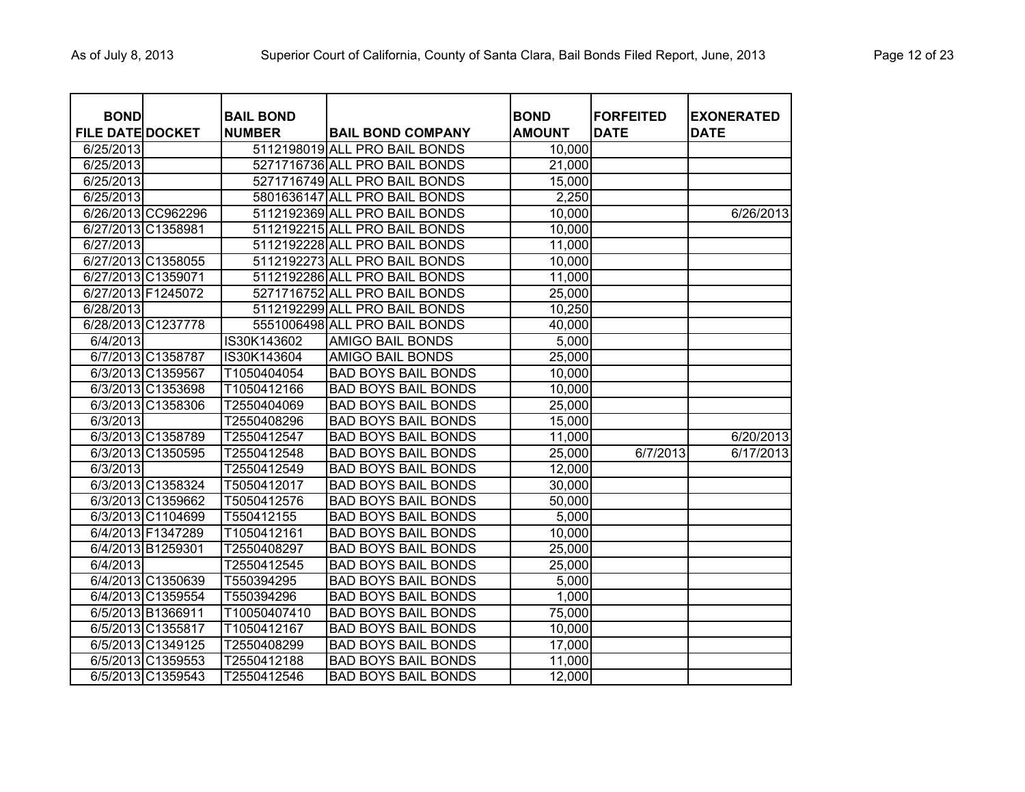| <b>BOND</b>                          |                    |                                   |                                                           |                              |                                 |                                  |
|--------------------------------------|--------------------|-----------------------------------|-----------------------------------------------------------|------------------------------|---------------------------------|----------------------------------|
|                                      |                    | <b>BAIL BOND</b><br><b>NUMBER</b> |                                                           | <b>BOND</b><br><b>AMOUNT</b> | <b>FORFEITED</b><br><b>DATE</b> | <b>EXONERATED</b><br><b>DATE</b> |
| <b>FILE DATE DOCKET</b><br>6/25/2013 |                    |                                   | <b>BAIL BOND COMPANY</b><br>5112198019 ALL PRO BAIL BONDS | 10,000                       |                                 |                                  |
| 6/25/2013                            |                    |                                   | 5271716736 ALL PRO BAIL BONDS                             | 21,000                       |                                 |                                  |
| 6/25/2013                            |                    |                                   | 5271716749 ALL PRO BAIL BONDS                             | 15,000                       |                                 |                                  |
|                                      |                    |                                   | 5801636147 ALL PRO BAIL BONDS                             |                              |                                 |                                  |
| 6/25/2013                            |                    |                                   |                                                           | 2,250                        |                                 |                                  |
|                                      | 6/26/2013 CC962296 |                                   | 5112192369 ALL PRO BAIL BONDS                             | 10,000                       |                                 | 6/26/2013                        |
| 6/27/2013 C1358981                   |                    |                                   | 5112192215 ALL PRO BAIL BONDS                             | 10,000                       |                                 |                                  |
| 6/27/2013                            |                    |                                   | 5112192228 ALL PRO BAIL BONDS                             | 11,000                       |                                 |                                  |
|                                      | 6/27/2013 C1358055 |                                   | 5112192273 ALL PRO BAIL BONDS                             | 10,000                       |                                 |                                  |
| 6/27/2013 C1359071                   |                    |                                   | 5112192286 ALL PRO BAIL BONDS                             | 11,000                       |                                 |                                  |
| 6/27/2013 F1245072                   |                    |                                   | 5271716752 ALL PRO BAIL BONDS                             | 25,000                       |                                 |                                  |
| 6/28/2013                            |                    |                                   | 5112192299 ALL PRO BAIL BONDS                             | 10,250                       |                                 |                                  |
|                                      | 6/28/2013 C1237778 |                                   | 5551006498 ALL PRO BAIL BONDS                             | 40,000                       |                                 |                                  |
| 6/4/2013                             |                    | IS30K143602                       | <b>AMIGO BAIL BONDS</b>                                   | 5,000                        |                                 |                                  |
|                                      | 6/7/2013 C1358787  | IS30K143604                       | <b>AMIGO BAIL BONDS</b>                                   | 25,000                       |                                 |                                  |
|                                      | 6/3/2013 C1359567  | T1050404054                       | <b>BAD BOYS BAIL BONDS</b>                                | 10,000                       |                                 |                                  |
|                                      | 6/3/2013 C1353698  | T1050412166                       | <b>BAD BOYS BAIL BONDS</b>                                | 10,000                       |                                 |                                  |
|                                      | 6/3/2013 C1358306  | T2550404069                       | <b>BAD BOYS BAIL BONDS</b>                                | 25,000                       |                                 |                                  |
| 6/3/2013                             |                    | T2550408296                       | <b>BAD BOYS BAIL BONDS</b>                                | 15,000                       |                                 |                                  |
|                                      | 6/3/2013 C1358789  | T2550412547                       | <b>BAD BOYS BAIL BONDS</b>                                | 11,000                       |                                 | 6/20/2013                        |
|                                      | 6/3/2013 C1350595  | T2550412548                       | <b>BAD BOYS BAIL BONDS</b>                                | 25,000                       | 6/7/2013                        | 6/17/2013                        |
| 6/3/2013                             |                    | T2550412549                       | <b>BAD BOYS BAIL BONDS</b>                                | 12,000                       |                                 |                                  |
|                                      | 6/3/2013 C1358324  | T5050412017                       | <b>BAD BOYS BAIL BONDS</b>                                | 30,000                       |                                 |                                  |
|                                      | 6/3/2013 C1359662  | T5050412576                       | <b>BAD BOYS BAIL BONDS</b>                                | 50,000                       |                                 |                                  |
|                                      | 6/3/2013 C1104699  | T550412155                        | <b>BAD BOYS BAIL BONDS</b>                                | 5,000                        |                                 |                                  |
|                                      | 6/4/2013 F1347289  | T1050412161                       | <b>BAD BOYS BAIL BONDS</b>                                | 10,000                       |                                 |                                  |
|                                      | 6/4/2013 B1259301  | T2550408297                       | <b>BAD BOYS BAIL BONDS</b>                                | 25,000                       |                                 |                                  |
| 6/4/2013                             |                    | T2550412545                       | <b>BAD BOYS BAIL BONDS</b>                                | 25,000                       |                                 |                                  |
|                                      | 6/4/2013 C1350639  | T550394295                        | <b>BAD BOYS BAIL BONDS</b>                                | 5,000                        |                                 |                                  |
|                                      | 6/4/2013 C1359554  | T550394296                        | <b>BAD BOYS BAIL BONDS</b>                                | 1,000                        |                                 |                                  |
|                                      | 6/5/2013 B1366911  | T10050407410                      | <b>BAD BOYS BAIL BONDS</b>                                | 75,000                       |                                 |                                  |
|                                      | 6/5/2013 C1355817  | T1050412167                       | <b>BAD BOYS BAIL BONDS</b>                                | 10,000                       |                                 |                                  |
|                                      | 6/5/2013 C1349125  | T2550408299                       | <b>BAD BOYS BAIL BONDS</b>                                | 17,000                       |                                 |                                  |
|                                      | 6/5/2013 C1359553  | T2550412188                       | <b>BAD BOYS BAIL BONDS</b>                                | 11,000                       |                                 |                                  |
|                                      | 6/5/2013 C1359543  | T2550412546                       | <b>BAD BOYS BAIL BONDS</b>                                | 12,000                       |                                 |                                  |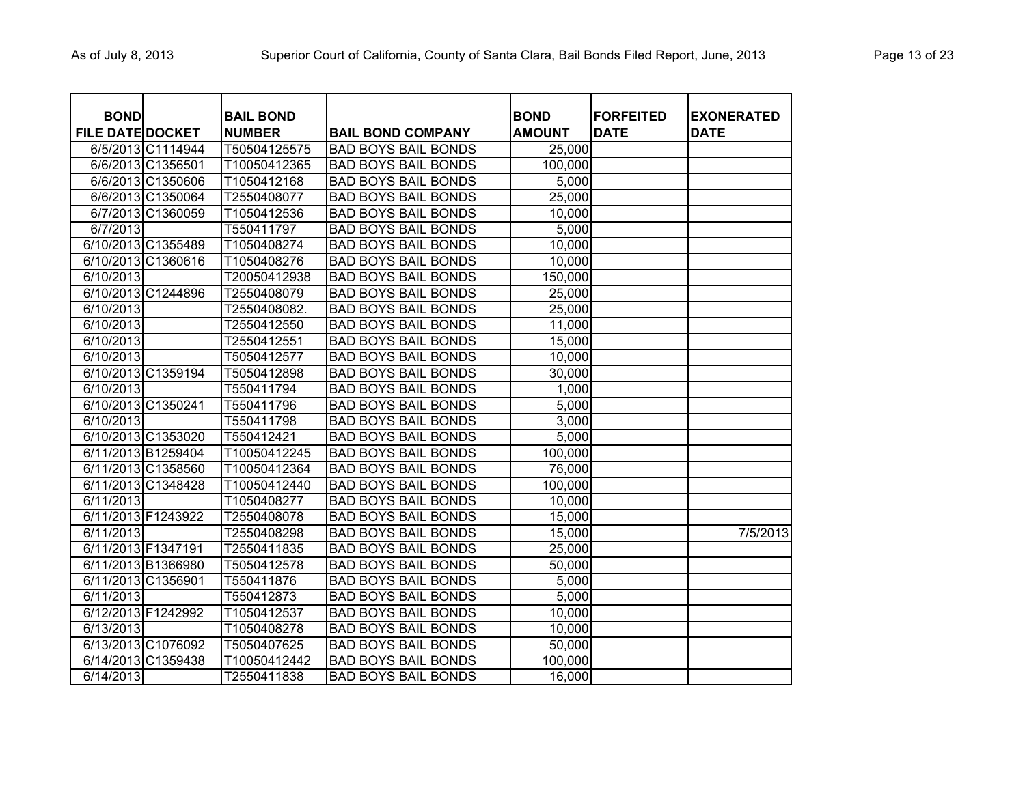| <b>BOND</b>             |                    | <b>BAIL BOND</b> |                            | <b>BOND</b>   | <b>FORFEITED</b> | <b>EXONERATED</b> |
|-------------------------|--------------------|------------------|----------------------------|---------------|------------------|-------------------|
| <b>FILE DATE DOCKET</b> |                    | <b>NUMBER</b>    | <b>BAIL BOND COMPANY</b>   | <b>AMOUNT</b> | <b>DATE</b>      | <b>DATE</b>       |
|                         | 6/5/2013 C1114944  | T50504125575     | <b>BAD BOYS BAIL BONDS</b> | 25,000        |                  |                   |
|                         | 6/6/2013 C1356501  | T10050412365     | <b>BAD BOYS BAIL BONDS</b> | 100,000       |                  |                   |
|                         | 6/6/2013 C1350606  | T1050412168      | <b>BAD BOYS BAIL BONDS</b> | 5,000         |                  |                   |
|                         | 6/6/2013 C1350064  | T2550408077      | <b>BAD BOYS BAIL BONDS</b> | 25,000        |                  |                   |
|                         | 6/7/2013 C1360059  | T1050412536      | <b>BAD BOYS BAIL BONDS</b> | 10,000        |                  |                   |
| 6/7/2013                |                    | T550411797       | <b>BAD BOYS BAIL BONDS</b> | 5,000         |                  |                   |
|                         | 6/10/2013 C1355489 | T1050408274      | <b>BAD BOYS BAIL BONDS</b> | 10,000        |                  |                   |
|                         | 6/10/2013 C1360616 | T1050408276      | <b>BAD BOYS BAIL BONDS</b> | 10,000        |                  |                   |
| 6/10/2013               |                    | T20050412938     | <b>BAD BOYS BAIL BONDS</b> | 150,000       |                  |                   |
|                         | 6/10/2013 C1244896 | T2550408079      | <b>BAD BOYS BAIL BONDS</b> | 25,000        |                  |                   |
| 6/10/2013               |                    | T2550408082.     | <b>BAD BOYS BAIL BONDS</b> | 25,000        |                  |                   |
| 6/10/2013               |                    | T2550412550      | <b>BAD BOYS BAIL BONDS</b> | 11,000        |                  |                   |
| 6/10/2013               |                    | T2550412551      | <b>BAD BOYS BAIL BONDS</b> | 15,000        |                  |                   |
| 6/10/2013               |                    | T5050412577      | <b>BAD BOYS BAIL BONDS</b> | 10,000        |                  |                   |
|                         | 6/10/2013 C1359194 | T5050412898      | <b>BAD BOYS BAIL BONDS</b> | 30,000        |                  |                   |
| 6/10/2013               |                    | T550411794       | <b>BAD BOYS BAIL BONDS</b> | 1,000         |                  |                   |
|                         | 6/10/2013 C1350241 | T550411796       | <b>BAD BOYS BAIL BONDS</b> | 5,000         |                  |                   |
| 6/10/2013               |                    | T550411798       | <b>BAD BOYS BAIL BONDS</b> | 3,000         |                  |                   |
|                         | 6/10/2013 C1353020 | T550412421       | <b>BAD BOYS BAIL BONDS</b> | 5,000         |                  |                   |
|                         | 6/11/2013 B1259404 | T10050412245     | <b>BAD BOYS BAIL BONDS</b> | 100,000       |                  |                   |
|                         | 6/11/2013 C1358560 | T10050412364     | <b>BAD BOYS BAIL BONDS</b> | 76,000        |                  |                   |
|                         | 6/11/2013 C1348428 | T10050412440     | <b>BAD BOYS BAIL BONDS</b> | 100,000       |                  |                   |
| 6/11/2013               |                    | T1050408277      | <b>BAD BOYS BAIL BONDS</b> | 10,000        |                  |                   |
| 6/11/2013 F1243922      |                    | T2550408078      | <b>BAD BOYS BAIL BONDS</b> | 15,000        |                  |                   |
| 6/11/2013               |                    | T2550408298      | <b>BAD BOYS BAIL BONDS</b> | 15,000        |                  | 7/5/2013          |
| 6/11/2013 F1347191      |                    | T2550411835      | <b>BAD BOYS BAIL BONDS</b> | 25,000        |                  |                   |
|                         | 6/11/2013 B1366980 | T5050412578      | <b>BAD BOYS BAIL BONDS</b> | 50,000        |                  |                   |
| 6/11/2013 C1356901      |                    | T550411876       | <b>BAD BOYS BAIL BONDS</b> | 5,000         |                  |                   |
| 6/11/2013               |                    | T550412873       | <b>BAD BOYS BAIL BONDS</b> | 5,000         |                  |                   |
| 6/12/2013 F1242992      |                    | T1050412537      | <b>BAD BOYS BAIL BONDS</b> | 10,000        |                  |                   |
| 6/13/2013               |                    | T1050408278      | <b>BAD BOYS BAIL BONDS</b> | 10,000        |                  |                   |
|                         | 6/13/2013 C1076092 | T5050407625      | <b>BAD BOYS BAIL BONDS</b> | 50,000        |                  |                   |
|                         | 6/14/2013 C1359438 | T10050412442     | <b>BAD BOYS BAIL BONDS</b> | 100,000       |                  |                   |
| 6/14/2013               |                    | T2550411838      | <b>BAD BOYS BAIL BONDS</b> | 16,000        |                  |                   |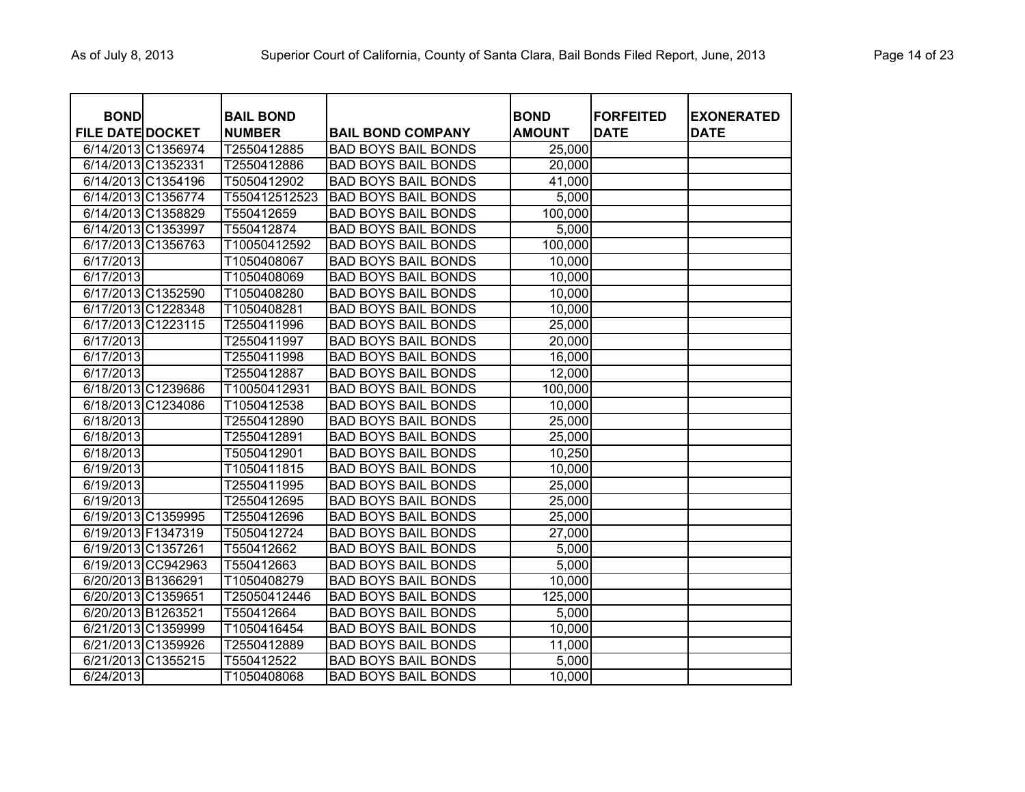| <b>BOND</b><br><b>FILE DATE DOCKET</b> |                    | <b>BAIL BOND</b><br><b>NUMBER</b> | <b>BAIL BOND COMPANY</b>   | <b>BOND</b><br><b>AMOUNT</b> | <b>FORFEITED</b><br><b>DATE</b> | <b>EXONERATED</b><br>DATE |
|----------------------------------------|--------------------|-----------------------------------|----------------------------|------------------------------|---------------------------------|---------------------------|
|                                        | 6/14/2013 C1356974 | T2550412885                       | <b>BAD BOYS BAIL BONDS</b> | 25,000                       |                                 |                           |
| 6/14/2013 C1352331                     |                    | T2550412886                       | <b>BAD BOYS BAIL BONDS</b> | 20,000                       |                                 |                           |
|                                        | 6/14/2013 C1354196 | T5050412902                       | <b>BAD BOYS BAIL BONDS</b> | 41,000                       |                                 |                           |
|                                        | 6/14/2013 C1356774 | T550412512523                     | <b>BAD BOYS BAIL BONDS</b> | 5,000                        |                                 |                           |
|                                        | 6/14/2013 C1358829 | T550412659                        | <b>BAD BOYS BAIL BONDS</b> | 100,000                      |                                 |                           |
|                                        | 6/14/2013 C1353997 | T550412874                        | <b>BAD BOYS BAIL BONDS</b> | 5,000                        |                                 |                           |
|                                        | 6/17/2013 C1356763 | T10050412592                      | <b>BAD BOYS BAIL BONDS</b> | 100,000                      |                                 |                           |
| 6/17/2013                              |                    | T1050408067                       | <b>BAD BOYS BAIL BONDS</b> | 10,000                       |                                 |                           |
| 6/17/2013                              |                    | T1050408069                       | <b>BAD BOYS BAIL BONDS</b> | 10,000                       |                                 |                           |
|                                        | 6/17/2013 C1352590 | T1050408280                       | <b>BAD BOYS BAIL BONDS</b> | 10,000                       |                                 |                           |
|                                        | 6/17/2013 C1228348 | T1050408281                       | <b>BAD BOYS BAIL BONDS</b> | 10,000                       |                                 |                           |
|                                        | 6/17/2013 C1223115 | T2550411996                       | <b>BAD BOYS BAIL BONDS</b> | 25,000                       |                                 |                           |
| 6/17/2013                              |                    | T2550411997                       | <b>BAD BOYS BAIL BONDS</b> | 20,000                       |                                 |                           |
| 6/17/2013                              |                    | T2550411998                       | <b>BAD BOYS BAIL BONDS</b> | 16,000                       |                                 |                           |
| 6/17/2013                              |                    | T2550412887                       | <b>BAD BOYS BAIL BONDS</b> | 12,000                       |                                 |                           |
|                                        | 6/18/2013 C1239686 | T10050412931                      | <b>BAD BOYS BAIL BONDS</b> | 100,000                      |                                 |                           |
|                                        | 6/18/2013 C1234086 | T1050412538                       | <b>BAD BOYS BAIL BONDS</b> | 10,000                       |                                 |                           |
| 6/18/2013                              |                    | T2550412890                       | <b>BAD BOYS BAIL BONDS</b> | 25,000                       |                                 |                           |
| 6/18/2013                              |                    | T2550412891                       | <b>BAD BOYS BAIL BONDS</b> | 25,000                       |                                 |                           |
| 6/18/2013                              |                    | T5050412901                       | <b>BAD BOYS BAIL BONDS</b> | 10,250                       |                                 |                           |
| 6/19/2013                              |                    | T1050411815                       | <b>BAD BOYS BAIL BONDS</b> | 10,000                       |                                 |                           |
| 6/19/2013                              |                    | T2550411995                       | <b>BAD BOYS BAIL BONDS</b> | 25,000                       |                                 |                           |
| 6/19/2013                              |                    | T2550412695                       | <b>BAD BOYS BAIL BONDS</b> | 25,000                       |                                 |                           |
|                                        | 6/19/2013 C1359995 | T2550412696                       | <b>BAD BOYS BAIL BONDS</b> | 25,000                       |                                 |                           |
| 6/19/2013 F1347319                     |                    | T5050412724                       | <b>BAD BOYS BAIL BONDS</b> | 27,000                       |                                 |                           |
| 6/19/2013 C1357261                     |                    | T550412662                        | <b>BAD BOYS BAIL BONDS</b> | 5,000                        |                                 |                           |
|                                        | 6/19/2013 CC942963 | T550412663                        | <b>BAD BOYS BAIL BONDS</b> | 5,000                        |                                 |                           |
| 6/20/2013 B1366291                     |                    | T1050408279                       | <b>BAD BOYS BAIL BONDS</b> | 10,000                       |                                 |                           |
| 6/20/2013 C1359651                     |                    | T25050412446                      | <b>BAD BOYS BAIL BONDS</b> | 125,000                      |                                 |                           |
| 6/20/2013 B1263521                     |                    | T550412664                        | <b>BAD BOYS BAIL BONDS</b> | 5,000                        |                                 |                           |
|                                        | 6/21/2013 C1359999 | T1050416454                       | <b>BAD BOYS BAIL BONDS</b> | 10,000                       |                                 |                           |
|                                        | 6/21/2013 C1359926 | T2550412889                       | <b>BAD BOYS BAIL BONDS</b> | 11,000                       |                                 |                           |
|                                        | 6/21/2013 C1355215 | T550412522                        | <b>BAD BOYS BAIL BONDS</b> | 5,000                        |                                 |                           |
| 6/24/2013                              |                    | T1050408068                       | <b>BAD BOYS BAIL BONDS</b> | 10,000                       |                                 |                           |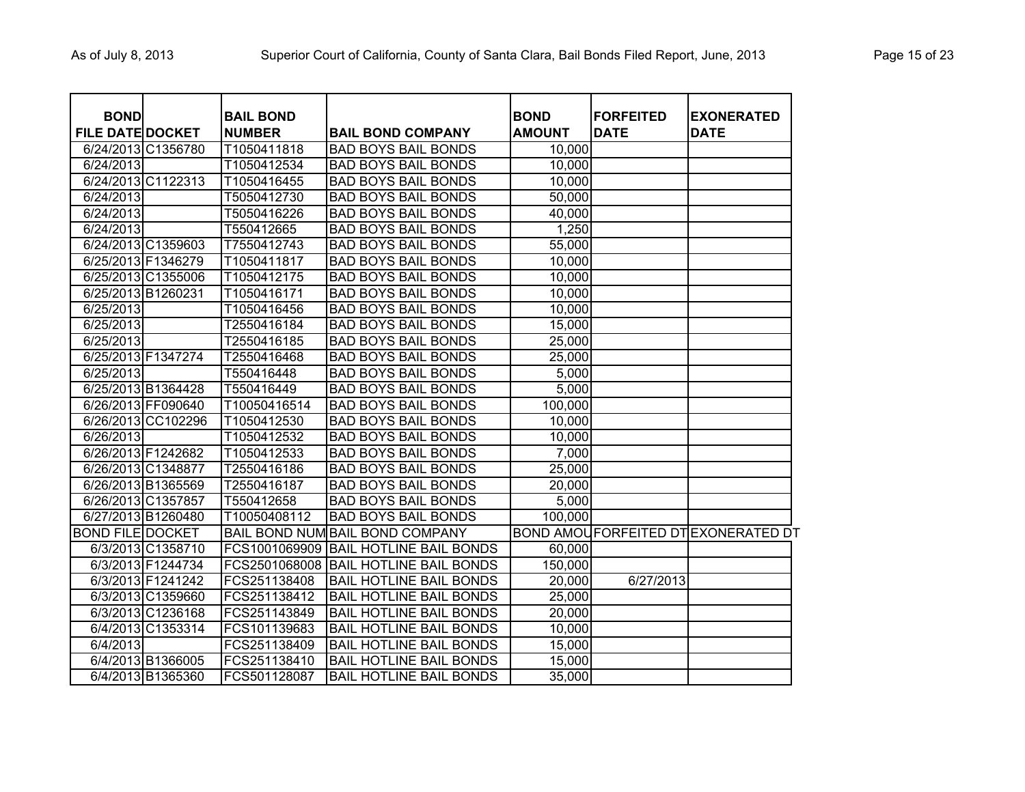| <b>BOND</b><br><b>FILE DATE DOCKET</b> |                    | <b>BAIL BOND</b><br><b>NUMBER</b> | <b>BAIL BOND COMPANY</b>               | <b>BOND</b><br><b>AMOUNT</b> | <b>FORFEITED</b><br><b>DATE</b> | <b>EXONERATED</b><br><b>DATE</b>          |
|----------------------------------------|--------------------|-----------------------------------|----------------------------------------|------------------------------|---------------------------------|-------------------------------------------|
| 6/24/2013 C1356780                     |                    | T1050411818                       | <b>BAD BOYS BAIL BONDS</b>             | 10,000                       |                                 |                                           |
| 6/24/2013                              |                    | T1050412534                       | <b>BAD BOYS BAIL BONDS</b>             | 10,000                       |                                 |                                           |
| 6/24/2013 C1122313                     |                    | T1050416455                       | <b>BAD BOYS BAIL BONDS</b>             | 10,000                       |                                 |                                           |
| 6/24/2013                              |                    | T5050412730                       | <b>BAD BOYS BAIL BONDS</b>             | 50,000                       |                                 |                                           |
| 6/24/2013                              |                    | T5050416226                       | <b>BAD BOYS BAIL BONDS</b>             | 40,000                       |                                 |                                           |
| 6/24/2013                              |                    | T550412665                        | <b>BAD BOYS BAIL BONDS</b>             | 1,250                        |                                 |                                           |
| 6/24/2013 C1359603                     |                    | T7550412743                       | <b>BAD BOYS BAIL BONDS</b>             | 55,000                       |                                 |                                           |
| 6/25/2013 F1346279                     |                    | T1050411817                       | <b>BAD BOYS BAIL BONDS</b>             | 10,000                       |                                 |                                           |
|                                        | 6/25/2013 C1355006 | T1050412175                       | <b>BAD BOYS BAIL BONDS</b>             | 10,000                       |                                 |                                           |
| 6/25/2013 B1260231                     |                    | T1050416171                       | <b>BAD BOYS BAIL BONDS</b>             | 10,000                       |                                 |                                           |
| 6/25/2013                              |                    | T1050416456                       | <b>BAD BOYS BAIL BONDS</b>             | 10,000                       |                                 |                                           |
| 6/25/2013                              |                    | T2550416184                       | <b>BAD BOYS BAIL BONDS</b>             | 15,000                       |                                 |                                           |
| 6/25/2013                              |                    | T2550416185                       | <b>BAD BOYS BAIL BONDS</b>             | 25,000                       |                                 |                                           |
| 6/25/2013 F1347274                     |                    | T2550416468                       | <b>BAD BOYS BAIL BONDS</b>             | 25,000                       |                                 |                                           |
| 6/25/2013                              |                    | T550416448                        | <b>BAD BOYS BAIL BONDS</b>             | 5,000                        |                                 |                                           |
| 6/25/2013 B1364428                     |                    | T550416449                        | <b>BAD BOYS BAIL BONDS</b>             | 5,000                        |                                 |                                           |
| 6/26/2013 FF090640                     |                    | T10050416514                      | <b>BAD BOYS BAIL BONDS</b>             | 100,000                      |                                 |                                           |
|                                        | 6/26/2013 CC102296 | T1050412530                       | <b>BAD BOYS BAIL BONDS</b>             | 10,000                       |                                 |                                           |
| 6/26/2013                              |                    | T1050412532                       | <b>BAD BOYS BAIL BONDS</b>             | 10,000                       |                                 |                                           |
| 6/26/2013 F1242682                     |                    | T1050412533                       | <b>BAD BOYS BAIL BONDS</b>             | 7,000                        |                                 |                                           |
| 6/26/2013 C1348877                     |                    | T2550416186                       | <b>BAD BOYS BAIL BONDS</b>             | 25,000                       |                                 |                                           |
| 6/26/2013 B1365569                     |                    | T2550416187                       | <b>BAD BOYS BAIL BONDS</b>             | 20,000                       |                                 |                                           |
| 6/26/2013 C1357857                     |                    | T550412658                        | <b>BAD BOYS BAIL BONDS</b>             | 5,000                        |                                 |                                           |
| 6/27/2013 B1260480                     |                    | T10050408112                      | <b>BAD BOYS BAIL BONDS</b>             | 100,000                      |                                 |                                           |
| BOND FILE DOCKET                       |                    |                                   | <b>BAIL BOND NUM BAIL BOND COMPANY</b> |                              |                                 | <b>BOND AMOUFORFEITED DTEXONERATED DT</b> |
|                                        | 6/3/2013 C1358710  | FCS1001069909                     | <b>BAIL HOTLINE BAIL BONDS</b>         | 60,000                       |                                 |                                           |
|                                        | 6/3/2013 F1244734  |                                   | FCS2501068008 BAIL HOTLINE BAIL BONDS  | 150,000                      |                                 |                                           |
|                                        | 6/3/2013 F1241242  | FCS251138408                      | <b>BAIL HOTLINE BAIL BONDS</b>         | 20,000                       | 6/27/2013                       |                                           |
|                                        | 6/3/2013 C1359660  | FCS251138412                      | <b>BAIL HOTLINE BAIL BONDS</b>         | 25,000                       |                                 |                                           |
|                                        | 6/3/2013 C1236168  | FCS251143849                      | <b>BAIL HOTLINE BAIL BONDS</b>         | 20,000                       |                                 |                                           |
|                                        | 6/4/2013 C1353314  | FCS101139683                      | <b>BAIL HOTLINE BAIL BONDS</b>         | 10,000                       |                                 |                                           |
| 6/4/2013                               |                    | FCS251138409                      | <b>BAIL HOTLINE BAIL BONDS</b>         | 15,000                       |                                 |                                           |
|                                        | 6/4/2013 B1366005  | FCS251138410                      | <b>BAIL HOTLINE BAIL BONDS</b>         | 15,000                       |                                 |                                           |
|                                        | 6/4/2013 B1365360  | FCS501128087                      | <b>BAIL HOTLINE BAIL BONDS</b>         | 35,000                       |                                 |                                           |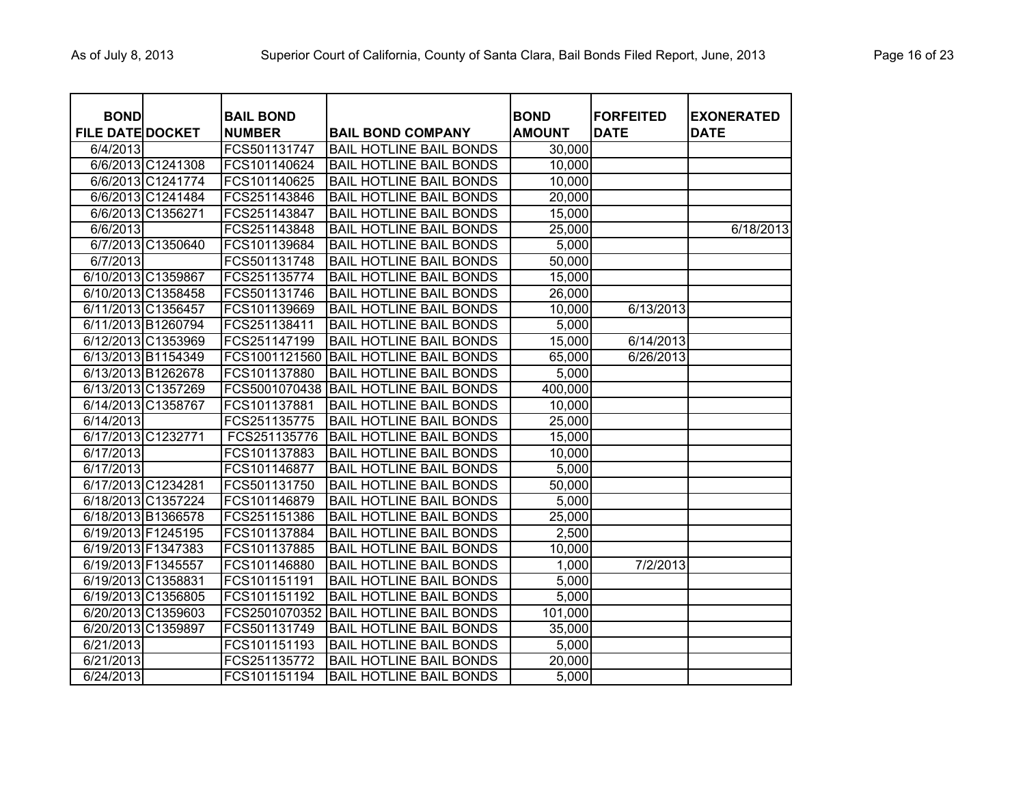| <b>BAIL BOND</b><br><b>NUMBER</b> | <b>BAIL BOND COMPANY</b>               | <b>BOND</b><br><b>AMOUNT</b> | <b>FORFEITED</b><br><b>DATE</b> | <b>EXONERATED</b><br><b>DATE</b> |
|-----------------------------------|----------------------------------------|------------------------------|---------------------------------|----------------------------------|
| FCS501131747                      | <b>BAIL HOTLINE BAIL BONDS</b>         | 30,000                       |                                 |                                  |
| FCS101140624                      | <b>BAIL HOTLINE BAIL BONDS</b>         | 10,000                       |                                 |                                  |
| FCS101140625                      | <b>BAIL HOTLINE BAIL BONDS</b>         | 10,000                       |                                 |                                  |
| FCS251143846                      | <b>BAIL HOTLINE BAIL BONDS</b>         | 20,000                       |                                 |                                  |
| FCS251143847                      | <b>BAIL HOTLINE BAIL BONDS</b>         | 15,000                       |                                 |                                  |
| FCS251143848                      | <b>BAIL HOTLINE BAIL BONDS</b>         | 25,000                       |                                 | 6/18/2013                        |
| FCS101139684                      | <b>BAIL HOTLINE BAIL BONDS</b>         | 5,000                        |                                 |                                  |
| FCS501131748                      | <b>BAIL HOTLINE BAIL BONDS</b>         | 50,000                       |                                 |                                  |
| FCS251135774                      | <b>BAIL HOTLINE BAIL BONDS</b>         | 15,000                       |                                 |                                  |
| FCS501131746                      | <b>BAIL HOTLINE BAIL BONDS</b>         | 26,000                       |                                 |                                  |
| FCS101139669                      | <b>BAIL HOTLINE BAIL BONDS</b>         | 10,000                       | 6/13/2013                       |                                  |
| FCS251138411                      | <b>BAIL HOTLINE BAIL BONDS</b>         | 5,000                        |                                 |                                  |
| FCS251147199                      | <b>BAIL HOTLINE BAIL BONDS</b>         | 15,000                       | 6/14/2013                       |                                  |
| FCS1001121560                     | BAIL HOTLINE BAIL BONDS                | 65,000                       | 6/26/2013                       |                                  |
| FCS101137880                      | <b>BAIL HOTLINE BAIL BONDS</b>         | 5,000                        |                                 |                                  |
|                                   | FCS5001070438 IBAIL HOTLINE BAIL BONDS | 400.000                      |                                 |                                  |

| <b>BOND</b>             |                    | <b>BAIL BOND</b> |                                | <b>BOND</b>   | <b> FORFEITED</b> | <b>EXONERATED</b> |
|-------------------------|--------------------|------------------|--------------------------------|---------------|-------------------|-------------------|
| <b>FILE DATE DOCKET</b> |                    | <b>NUMBER</b>    | <b>BAIL BOND COMPANY</b>       | <b>AMOUNT</b> | <b>DATE</b>       | <b>DATE</b>       |
| 6/4/2013                |                    | FCS501131747     | <b>BAIL HOTLINE BAIL BONDS</b> | 30,000        |                   |                   |
|                         | 6/6/2013 C1241308  | FCS101140624     | <b>BAIL HOTLINE BAIL BONDS</b> | 10,000        |                   |                   |
|                         | 6/6/2013 C1241774  | FCS101140625     | <b>BAIL HOTLINE BAIL BONDS</b> | 10,000        |                   |                   |
|                         | 6/6/2013 C1241484  | FCS251143846     | <b>BAIL HOTLINE BAIL BONDS</b> | 20,000        |                   |                   |
|                         | 6/6/2013 C1356271  | FCS251143847     | <b>BAIL HOTLINE BAIL BONDS</b> | 15,000        |                   |                   |
| 6/6/2013                |                    | FCS251143848     | <b>BAIL HOTLINE BAIL BONDS</b> | 25,000        |                   | 6/18/2013         |
|                         | 6/7/2013 C1350640  | FCS101139684     | <b>BAIL HOTLINE BAIL BONDS</b> | 5,000         |                   |                   |
| 6/7/2013                |                    | FCS501131748     | <b>BAIL HOTLINE BAIL BONDS</b> | 50,000        |                   |                   |
|                         | 6/10/2013 C1359867 | FCS251135774     | <b>BAIL HOTLINE BAIL BONDS</b> | 15,000        |                   |                   |
|                         | 6/10/2013 C1358458 | FCS501131746     | <b>BAIL HOTLINE BAIL BONDS</b> | 26,000        |                   |                   |
|                         | 6/11/2013 C1356457 | FCS101139669     | <b>BAIL HOTLINE BAIL BONDS</b> | 10,000        | 6/13/2013         |                   |
|                         | 6/11/2013 B1260794 | FCS251138411     | <b>BAIL HOTLINE BAIL BONDS</b> | 5,000         |                   |                   |
|                         | 6/12/2013 C1353969 | FCS251147199     | <b>BAIL HOTLINE BAIL BONDS</b> | 15,000        | 6/14/2013         |                   |
|                         | 6/13/2013 B1154349 | FCS1001121560    | <b>BAIL HOTLINE BAIL BONDS</b> | 65,000        | 6/26/2013         |                   |
|                         | 6/13/2013 B1262678 | FCS101137880     | <b>BAIL HOTLINE BAIL BONDS</b> | 5,000         |                   |                   |
|                         | 6/13/2013 C1357269 | FCS5001070438    | <b>BAIL HOTLINE BAIL BONDS</b> | 400,000       |                   |                   |
|                         | 6/14/2013 C1358767 | FCS101137881     | <b>BAIL HOTLINE BAIL BONDS</b> | 10,000        |                   |                   |
| 6/14/2013               |                    | FCS251135775     | <b>BAIL HOTLINE BAIL BONDS</b> | 25,000        |                   |                   |
| 6/17/2013 C1232771      |                    | FCS251135776     | <b>BAIL HOTLINE BAIL BONDS</b> | 15,000        |                   |                   |
| 6/17/2013               |                    | FCS101137883     | <b>BAIL HOTLINE BAIL BONDS</b> | 10,000        |                   |                   |
| 6/17/2013               |                    | FCS101146877     | <b>BAIL HOTLINE BAIL BONDS</b> | 5,000         |                   |                   |
|                         | 6/17/2013 C1234281 | FCS501131750     | <b>BAIL HOTLINE BAIL BONDS</b> | 50,000        |                   |                   |
|                         | 6/18/2013 C1357224 | FCS101146879     | <b>BAIL HOTLINE BAIL BONDS</b> | 5,000         |                   |                   |
|                         | 6/18/2013 B1366578 | FCS251151386     | <b>BAIL HOTLINE BAIL BONDS</b> | 25,000        |                   |                   |
|                         | 6/19/2013 F1245195 | FCS101137884     | <b>BAIL HOTLINE BAIL BONDS</b> | 2,500         |                   |                   |
|                         | 6/19/2013 F1347383 | FCS101137885     | <b>BAIL HOTLINE BAIL BONDS</b> | 10,000        |                   |                   |
|                         | 6/19/2013 F1345557 | FCS101146880     | <b>BAIL HOTLINE BAIL BONDS</b> | 1,000         | 7/2/2013          |                   |
|                         | 6/19/2013 C1358831 | FCS101151191     | <b>BAIL HOTLINE BAIL BONDS</b> | 5,000         |                   |                   |
|                         | 6/19/2013 C1356805 | FCS101151192     | <b>BAIL HOTLINE BAIL BONDS</b> | 5,000         |                   |                   |
|                         | 6/20/2013 C1359603 | FCS2501070352    | <b>BAIL HOTLINE BAIL BONDS</b> | 101,000       |                   |                   |
|                         | 6/20/2013 C1359897 | FCS501131749     | <b>BAIL HOTLINE BAIL BONDS</b> | 35,000        |                   |                   |
| 6/21/2013               |                    | FCS101151193     | <b>BAIL HOTLINE BAIL BONDS</b> | 5,000         |                   |                   |
| 6/21/2013               |                    | FCS251135772     | <b>BAIL HOTLINE BAIL BONDS</b> | 20,000        |                   |                   |
| 6/24/2013               |                    | FCS101151194     | <b>BAIL HOTLINE BAIL BONDS</b> | 5,000         |                   |                   |
|                         |                    |                  |                                |               |                   |                   |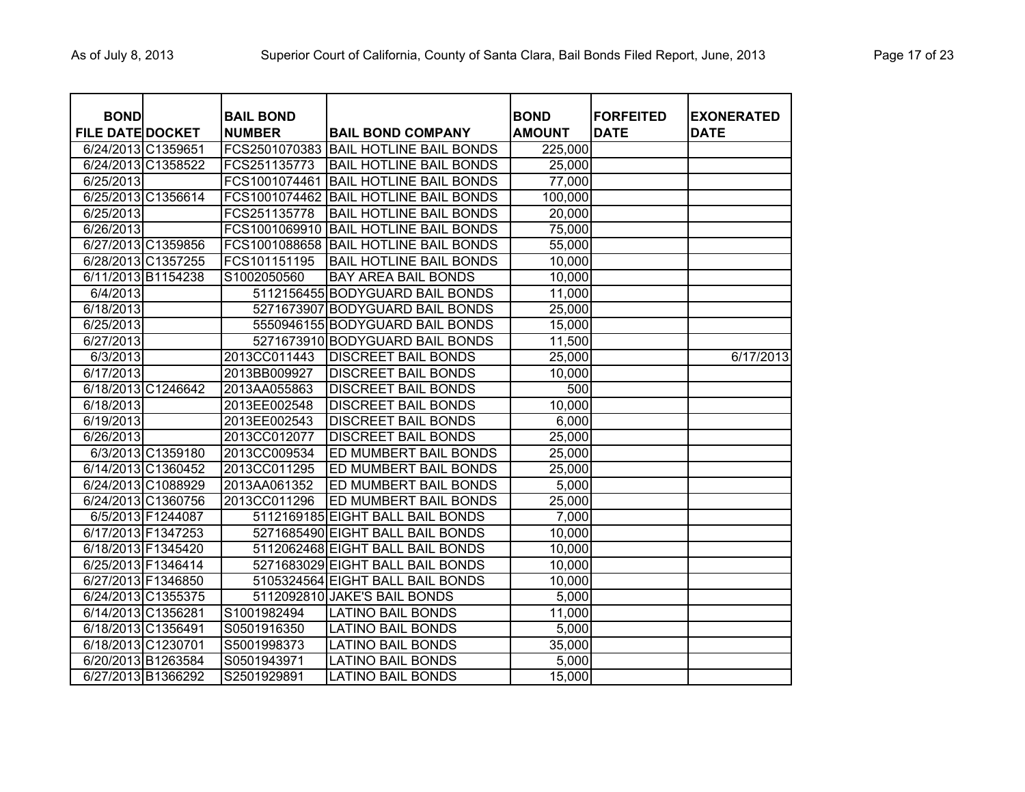| <b>BOND</b>             |                   | <b>BAIL BOND</b> |                                  | <b>BOND</b>   | <b>FORFEITED</b> | <b>EXONERATED</b> |
|-------------------------|-------------------|------------------|----------------------------------|---------------|------------------|-------------------|
| <b>FILE DATE DOCKET</b> |                   | <b>NUMBER</b>    | <b>BAIL BOND COMPANY</b>         | <b>AMOUNT</b> | <b>DATE</b>      | <b>DATE</b>       |
| 6/24/2013 C1359651      |                   | FCS2501070383    | <b>BAIL HOTLINE BAIL BONDS</b>   | 225,000       |                  |                   |
| 6/24/2013 C1358522      |                   | FCS251135773     | <b>BAIL HOTLINE BAIL BONDS</b>   | 25,000        |                  |                   |
| 6/25/2013               |                   | FCS1001074461    | <b>BAIL HOTLINE BAIL BONDS</b>   | 77,000        |                  |                   |
| 6/25/2013 C1356614      |                   | FCS1001074462    | <b>BAIL HOTLINE BAIL BONDS</b>   | 100,000       |                  |                   |
| 6/25/2013               |                   | FCS251135778     | <b>BAIL HOTLINE BAIL BONDS</b>   | 20,000        |                  |                   |
| 6/26/2013               |                   | FCS1001069910    | <b>BAIL HOTLINE BAIL BONDS</b>   | 75,000        |                  |                   |
| 6/27/2013 C1359856      |                   | FCS1001088658    | <b>BAIL HOTLINE BAIL BONDS</b>   | 55,000        |                  |                   |
| 6/28/2013 C1357255      |                   | FCS101151195     | <b>BAIL HOTLINE BAIL BONDS</b>   | 10,000        |                  |                   |
| 6/11/2013 B1154238      |                   | S1002050560      | <b>BAY AREA BAIL BONDS</b>       | 10,000        |                  |                   |
| 6/4/2013                |                   |                  | 5112156455 BODYGUARD BAIL BONDS  | 11,000        |                  |                   |
| 6/18/2013               |                   |                  | 5271673907 BODYGUARD BAIL BONDS  | 25,000        |                  |                   |
| 6/25/2013               |                   |                  | 5550946155 BODYGUARD BAIL BONDS  | 15,000        |                  |                   |
| 6/27/2013               |                   |                  | 5271673910 BODYGUARD BAIL BONDS  | 11,500        |                  |                   |
| 6/3/2013                |                   | 2013CC011443     | <b>DISCREET BAIL BONDS</b>       | 25,000        |                  | 6/17/2013         |
| 6/17/2013               |                   | 2013BB009927     | <b>DISCREET BAIL BONDS</b>       | 10,000        |                  |                   |
| 6/18/2013 C1246642      |                   | 2013AA055863     | <b>DISCREET BAIL BONDS</b>       | 500           |                  |                   |
| 6/18/2013               |                   | 2013EE002548     | <b>DISCREET BAIL BONDS</b>       | 10,000        |                  |                   |
| 6/19/2013               |                   | 2013EE002543     | <b>DISCREET BAIL BONDS</b>       | 6,000         |                  |                   |
| 6/26/2013               |                   | 2013CC012077     | <b>DISCREET BAIL BONDS</b>       | 25,000        |                  |                   |
|                         | 6/3/2013 C1359180 | 2013CC009534     | ED MUMBERT BAIL BONDS            | 25,000        |                  |                   |
| 6/14/2013 C1360452      |                   | 2013CC011295     | ED MUMBERT BAIL BONDS            | 25,000        |                  |                   |
| 6/24/2013 C1088929      |                   | 2013AA061352     | ED MUMBERT BAIL BONDS            | 5,000         |                  |                   |
| 6/24/2013 C1360756      |                   | 2013CC011296     | ED MUMBERT BAIL BONDS            | 25,000        |                  |                   |
|                         | 6/5/2013 F1244087 |                  | 5112169185 EIGHT BALL BAIL BONDS | 7,000         |                  |                   |
| 6/17/2013 F1347253      |                   |                  | 5271685490 EIGHT BALL BAIL BONDS | 10,000        |                  |                   |
| 6/18/2013 F1345420      |                   |                  | 5112062468 EIGHT BALL BAIL BONDS | 10,000        |                  |                   |
| 6/25/2013 F1346414      |                   |                  | 5271683029 EIGHT BALL BAIL BONDS | 10,000        |                  |                   |
| 6/27/2013 F1346850      |                   |                  | 5105324564 EIGHT BALL BAIL BONDS | 10,000        |                  |                   |
| 6/24/2013 C1355375      |                   |                  | 5112092810 JAKE'S BAIL BONDS     | 5,000         |                  |                   |
| 6/14/2013 C1356281      |                   | S1001982494      | <b>LATINO BAIL BONDS</b>         | 11,000        |                  |                   |
| 6/18/2013 C1356491      |                   | S0501916350      | <b>LATINO BAIL BONDS</b>         | 5,000         |                  |                   |
| 6/18/2013 C1230701      |                   | S5001998373      | <b>LATINO BAIL BONDS</b>         | 35,000        |                  |                   |
| 6/20/2013 B1263584      |                   | S0501943971      | LATINO BAIL BONDS                | 5,000         |                  |                   |
| 6/27/2013 B1366292      |                   | S2501929891      | LATINO BAIL BONDS                | 15,000        |                  |                   |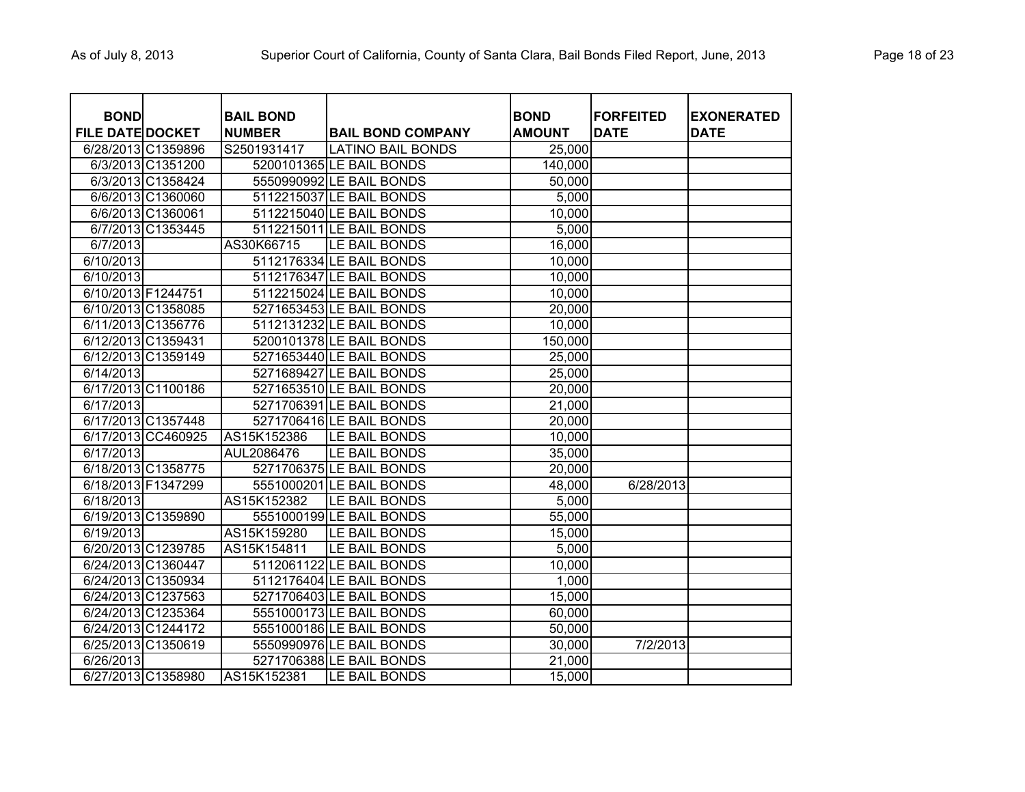| <b>BOND</b><br><b>FILE DATE DOCKET</b> |                    | <b>BAIL BOND</b><br><b>NUMBER</b> | <b>BAIL BOND COMPANY</b> | <b>BOND</b><br><b>AMOUNT</b> | <b>FORFEITED</b><br><b>DATE</b> | <b>EXONERATED</b><br><b>DATE</b> |
|----------------------------------------|--------------------|-----------------------------------|--------------------------|------------------------------|---------------------------------|----------------------------------|
|                                        | 6/28/2013 C1359896 | S2501931417                       | <b>LATINO BAIL BONDS</b> | 25,000                       |                                 |                                  |
|                                        | 6/3/2013 C1351200  |                                   | 5200101365 LE BAIL BONDS | 140,000                      |                                 |                                  |
|                                        | 6/3/2013 C1358424  |                                   | 5550990992 LE BAIL BONDS | 50,000                       |                                 |                                  |
|                                        | 6/6/2013 C1360060  |                                   | 5112215037 LE BAIL BONDS | 5,000                        |                                 |                                  |
|                                        | 6/6/2013 C1360061  |                                   | 5112215040 LE BAIL BONDS | 10,000                       |                                 |                                  |
|                                        | 6/7/2013 C1353445  |                                   | 5112215011 LE BAIL BONDS | 5,000                        |                                 |                                  |
| 6/7/2013                               |                    | AS30K66715                        | LE BAIL BONDS            | 16,000                       |                                 |                                  |
| 6/10/2013                              |                    |                                   | 5112176334 LE BAIL BONDS | 10,000                       |                                 |                                  |
| 6/10/2013                              |                    |                                   | 5112176347 LE BAIL BONDS | 10,000                       |                                 |                                  |
| 6/10/2013 F1244751                     |                    |                                   | 5112215024 LE BAIL BONDS | 10,000                       |                                 |                                  |
|                                        | 6/10/2013 C1358085 |                                   | 5271653453 LE BAIL BONDS | 20,000                       |                                 |                                  |
|                                        | 6/11/2013 C1356776 |                                   | 5112131232 LE BAIL BONDS | 10,000                       |                                 |                                  |
| 6/12/2013 C1359431                     |                    |                                   | 5200101378 LE BAIL BONDS | 150,000                      |                                 |                                  |
|                                        | 6/12/2013 C1359149 |                                   | 5271653440 LE BAIL BONDS | 25,000                       |                                 |                                  |
| 6/14/2013                              |                    |                                   | 5271689427 LE BAIL BONDS | 25,000                       |                                 |                                  |
|                                        | 6/17/2013 C1100186 |                                   | 5271653510 LE BAIL BONDS | 20,000                       |                                 |                                  |
| 6/17/2013                              |                    |                                   | 5271706391 LE BAIL BONDS | 21,000                       |                                 |                                  |
|                                        | 6/17/2013 C1357448 |                                   | 5271706416 LE BAIL BONDS | 20,000                       |                                 |                                  |
|                                        | 6/17/2013 CC460925 | AS15K152386                       | LE BAIL BONDS            | 10,000                       |                                 |                                  |
| 6/17/2013                              |                    | AUL2086476                        | LE BAIL BONDS            | 35,000                       |                                 |                                  |
|                                        | 6/18/2013 C1358775 |                                   | 5271706375 LE BAIL BONDS | 20,000                       |                                 |                                  |
| 6/18/2013 F1347299                     |                    |                                   | 5551000201 LE BAIL BONDS | 48,000                       | 6/28/2013                       |                                  |
| 6/18/2013                              |                    | AS15K152382                       | LE BAIL BONDS            | 5,000                        |                                 |                                  |
|                                        | 6/19/2013 C1359890 |                                   | 5551000199 LE BAIL BONDS | 55,000                       |                                 |                                  |
| 6/19/2013                              |                    | AS15K159280                       | LE BAIL BONDS            | 15,000                       |                                 |                                  |
|                                        | 6/20/2013 C1239785 | AS15K154811                       | LE BAIL BONDS            | 5,000                        |                                 |                                  |
| 6/24/2013 C1360447                     |                    |                                   | 5112061122 LE BAIL BONDS | 10,000                       |                                 |                                  |
|                                        | 6/24/2013 C1350934 |                                   | 5112176404 LE BAIL BONDS | 1,000                        |                                 |                                  |
|                                        | 6/24/2013 C1237563 |                                   | 5271706403 LE BAIL BONDS | 15,000                       |                                 |                                  |
|                                        | 6/24/2013 C1235364 |                                   | 5551000173 LE BAIL BONDS | 60,000                       |                                 |                                  |
|                                        | 6/24/2013 C1244172 |                                   | 5551000186 LE BAIL BONDS | 50,000                       |                                 |                                  |
|                                        | 6/25/2013 C1350619 |                                   | 5550990976 LE BAIL BONDS | 30,000                       | 7/2/2013                        |                                  |
| 6/26/2013                              |                    |                                   | 5271706388 LE BAIL BONDS | 21,000                       |                                 |                                  |
|                                        | 6/27/2013 C1358980 | AS15K152381                       | LE BAIL BONDS            | 15,000                       |                                 |                                  |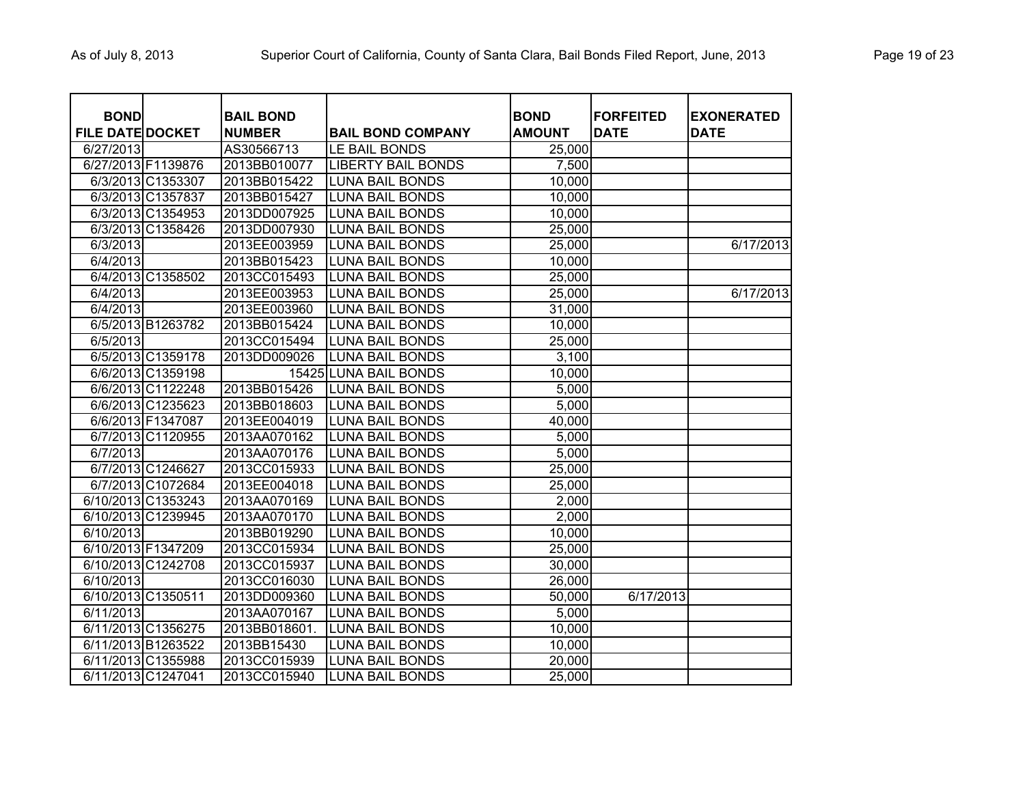| <b>BOND</b><br><b>FILE DATE DOCKET</b> |                    | <b>BAIL BOND</b><br><b>NUMBER</b> | <b>BAIL BOND COMPANY</b>  | <b>BOND</b><br><b>AMOUNT</b> | <b>FORFEITED</b><br><b>DATE</b> | <b>EXONERATED</b><br><b>DATE</b> |
|----------------------------------------|--------------------|-----------------------------------|---------------------------|------------------------------|---------------------------------|----------------------------------|
| 6/27/2013                              |                    | AS30566713                        | LE BAIL BONDS             | 25,000                       |                                 |                                  |
| 6/27/2013 F1139876                     |                    | 2013BB010077                      | <b>LIBERTY BAIL BONDS</b> | 7,500                        |                                 |                                  |
|                                        | 6/3/2013 C1353307  | 2013BB015422                      | <b>LUNA BAIL BONDS</b>    | 10,000                       |                                 |                                  |
|                                        | 6/3/2013 C1357837  | 2013BB015427                      | <b>LUNA BAIL BONDS</b>    | 10,000                       |                                 |                                  |
|                                        | 6/3/2013 C1354953  | 2013DD007925                      | <b>LUNA BAIL BONDS</b>    | 10,000                       |                                 |                                  |
|                                        | 6/3/2013 C1358426  | 2013DD007930                      | <b>LUNA BAIL BONDS</b>    | 25,000                       |                                 |                                  |
| 6/3/2013                               |                    | 2013EE003959                      | <b>LUNA BAIL BONDS</b>    | 25,000                       |                                 | 6/17/2013                        |
| 6/4/2013                               |                    | 2013BB015423                      | <b>LUNA BAIL BONDS</b>    | 10,000                       |                                 |                                  |
|                                        | 6/4/2013 C1358502  | 2013CC015493                      | <b>LUNA BAIL BONDS</b>    | 25,000                       |                                 |                                  |
| 6/4/2013                               |                    | 2013EE003953                      | <b>LUNA BAIL BONDS</b>    | 25,000                       |                                 | 6/17/2013                        |
| 6/4/2013                               |                    | 2013EE003960                      | <b>LUNA BAIL BONDS</b>    | 31,000                       |                                 |                                  |
|                                        | 6/5/2013 B1263782  | 2013BB015424                      | <b>LUNA BAIL BONDS</b>    | 10,000                       |                                 |                                  |
| 6/5/2013                               |                    | 2013CC015494                      | <b>LUNA BAIL BONDS</b>    | 25,000                       |                                 |                                  |
|                                        | 6/5/2013 C1359178  | 2013DD009026                      | <b>LUNA BAIL BONDS</b>    | 3,100                        |                                 |                                  |
|                                        | 6/6/2013 C1359198  |                                   | 15425 LUNA BAIL BONDS     | 10,000                       |                                 |                                  |
|                                        | 6/6/2013 C1122248  | 2013BB015426                      | <b>LUNA BAIL BONDS</b>    | 5,000                        |                                 |                                  |
|                                        | 6/6/2013 C1235623  | 2013BB018603                      | <b>LUNA BAIL BONDS</b>    | 5,000                        |                                 |                                  |
|                                        | 6/6/2013 F1347087  | 2013EE004019                      | <b>LUNA BAIL BONDS</b>    | 40,000                       |                                 |                                  |
|                                        | 6/7/2013 C1120955  | 2013AA070162                      | <b>LUNA BAIL BONDS</b>    | 5,000                        |                                 |                                  |
| 6/7/2013                               |                    | 2013AA070176                      | <b>LUNA BAIL BONDS</b>    | 5,000                        |                                 |                                  |
|                                        | 6/7/2013 C1246627  | 2013CC015933                      | <b>LUNA BAIL BONDS</b>    | 25,000                       |                                 |                                  |
|                                        | 6/7/2013 C1072684  | 2013EE004018                      | <b>LUNA BAIL BONDS</b>    | 25,000                       |                                 |                                  |
|                                        | 6/10/2013 C1353243 | 2013AA070169                      | <b>LUNA BAIL BONDS</b>    | 2,000                        |                                 |                                  |
|                                        | 6/10/2013 C1239945 | 2013AA070170                      | <b>LUNA BAIL BONDS</b>    | 2,000                        |                                 |                                  |
| 6/10/2013                              |                    | 2013BB019290                      | <b>LUNA BAIL BONDS</b>    | 10,000                       |                                 |                                  |
| 6/10/2013 F1347209                     |                    | 2013CC015934                      | <b>LUNA BAIL BONDS</b>    | 25,000                       |                                 |                                  |
|                                        | 6/10/2013 C1242708 | 2013CC015937                      | <b>LUNA BAIL BONDS</b>    | 30,000                       |                                 |                                  |
| 6/10/2013                              |                    | 2013CC016030                      | <b>LUNA BAIL BONDS</b>    | 26,000                       |                                 |                                  |
| 6/10/2013 C1350511                     |                    | 2013DD009360                      | <b>LUNA BAIL BONDS</b>    | 50,000                       | 6/17/2013                       |                                  |
| 6/11/2013                              |                    | 2013AA070167                      | <b>LUNA BAIL BONDS</b>    | 5,000                        |                                 |                                  |
|                                        | 6/11/2013 C1356275 | 2013BB018601.                     | <b>LUNA BAIL BONDS</b>    | 10,000                       |                                 |                                  |
|                                        | 6/11/2013 B1263522 | 2013BB15430                       | <b>LUNA BAIL BONDS</b>    | 10,000                       |                                 |                                  |
|                                        | 6/11/2013 C1355988 | 2013CC015939                      | <b>LUNA BAIL BONDS</b>    | 20,000                       |                                 |                                  |
| 6/11/2013 C1247041                     |                    | 2013CC015940                      | <b>LUNA BAIL BONDS</b>    | 25,000                       |                                 |                                  |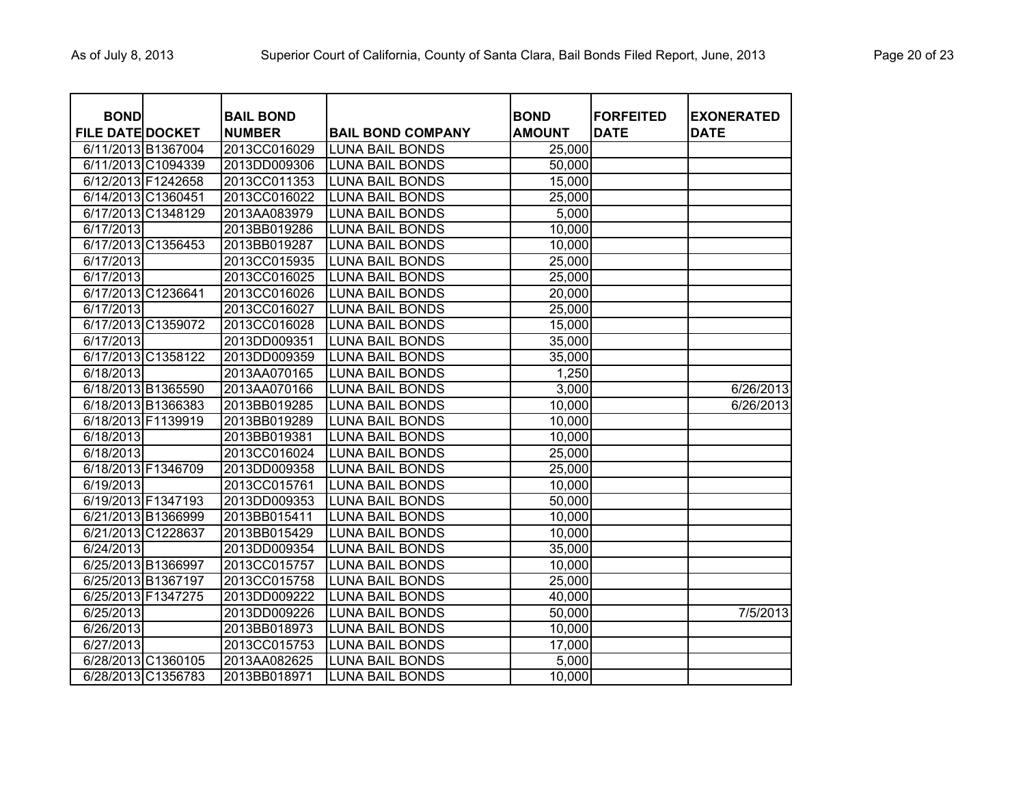| <b>BOND</b>             |                    | <b>BAIL BOND</b> |                          | <b>BOND</b>   | <b>FORFEITED</b> | <b>EXONERATED</b> |
|-------------------------|--------------------|------------------|--------------------------|---------------|------------------|-------------------|
| <b>FILE DATE DOCKET</b> |                    | <b>NUMBER</b>    | <b>BAIL BOND COMPANY</b> | <b>AMOUNT</b> | <b>DATE</b>      | <b>DATE</b>       |
| 6/11/2013 B1367004      |                    | 2013CC016029     | <b>LUNA BAIL BONDS</b>   | 25,000        |                  |                   |
|                         | 6/11/2013 C1094339 | 2013DD009306     | <b>LUNA BAIL BONDS</b>   | 50,000        |                  |                   |
| 6/12/2013 F1242658      |                    | 2013CC011353     | <b>LUNA BAIL BONDS</b>   | 15,000        |                  |                   |
| 6/14/2013 C1360451      |                    | 2013CC016022     | <b>LUNA BAIL BONDS</b>   | 25,000        |                  |                   |
|                         | 6/17/2013 C1348129 | 2013AA083979     | <b>LUNA BAIL BONDS</b>   | 5,000         |                  |                   |
| 6/17/2013               |                    | 2013BB019286     | <b>LUNA BAIL BONDS</b>   | 10,000        |                  |                   |
|                         | 6/17/2013 C1356453 | 2013BB019287     | <b>LUNA BAIL BONDS</b>   | 10,000        |                  |                   |
| 6/17/2013               |                    | 2013CC015935     | <b>LUNA BAIL BONDS</b>   | 25,000        |                  |                   |
| 6/17/2013               |                    | 2013CC016025     | <b>LUNA BAIL BONDS</b>   | 25,000        |                  |                   |
| 6/17/2013 C1236641      |                    | 2013CC016026     | <b>LUNA BAIL BONDS</b>   | 20,000        |                  |                   |
| 6/17/2013               |                    | 2013CC016027     | <b>LUNA BAIL BONDS</b>   | 25,000        |                  |                   |
|                         | 6/17/2013 C1359072 | 2013CC016028     | <b>LUNA BAIL BONDS</b>   | 15,000        |                  |                   |
| 6/17/2013               |                    | 2013DD009351     | <b>LUNA BAIL BONDS</b>   | 35,000        |                  |                   |
|                         | 6/17/2013 C1358122 | 2013DD009359     | <b>LUNA BAIL BONDS</b>   | 35,000        |                  |                   |
| 6/18/2013               |                    | 2013AA070165     | <b>LUNA BAIL BONDS</b>   | 1,250         |                  |                   |
| 6/18/2013 B1365590      |                    | 2013AA070166     | <b>LUNA BAIL BONDS</b>   | 3,000         |                  | 6/26/2013         |
|                         | 6/18/2013 B1366383 | 2013BB019285     | <b>LUNA BAIL BONDS</b>   | 10,000        |                  | 6/26/2013         |
| 6/18/2013 F1139919      |                    | 2013BB019289     | <b>LUNA BAIL BONDS</b>   | 10,000        |                  |                   |
| 6/18/2013               |                    | 2013BB019381     | <b>LUNA BAIL BONDS</b>   | 10,000        |                  |                   |
| 6/18/2013               |                    | 2013CC016024     | <b>LUNA BAIL BONDS</b>   | 25,000        |                  |                   |
| 6/18/2013 F1346709      |                    | 2013DD009358     | <b>LUNA BAIL BONDS</b>   | 25,000        |                  |                   |
| 6/19/2013               |                    | 2013CC015761     | <b>LUNA BAIL BONDS</b>   | 10,000        |                  |                   |
| 6/19/2013 F1347193      |                    | 2013DD009353     | <b>LUNA BAIL BONDS</b>   | 50,000        |                  |                   |
|                         | 6/21/2013 B1366999 | 2013BB015411     | <b>LUNA BAIL BONDS</b>   | 10,000        |                  |                   |
| 6/21/2013 C1228637      |                    | 2013BB015429     | <b>LUNA BAIL BONDS</b>   | 10,000        |                  |                   |
| 6/24/2013               |                    | 2013DD009354     | <b>LUNA BAIL BONDS</b>   | 35,000        |                  |                   |
| 6/25/2013 B1366997      |                    | 2013CC015757     | <b>LUNA BAIL BONDS</b>   | 10,000        |                  |                   |
| 6/25/2013 B1367197      |                    | 2013CC015758     | <b>LUNA BAIL BONDS</b>   | 25,000        |                  |                   |
| 6/25/2013 F1347275      |                    | 2013DD009222     | <b>LUNA BAIL BONDS</b>   | 40,000        |                  |                   |
| 6/25/2013               |                    | 2013DD009226     | <b>LUNA BAIL BONDS</b>   | 50,000        |                  | 7/5/2013          |
| 6/26/2013               |                    | 2013BB018973     | <b>LUNA BAIL BONDS</b>   | 10,000        |                  |                   |
| 6/27/2013               |                    | 2013CC015753     | <b>LUNA BAIL BONDS</b>   | 17,000        |                  |                   |
|                         | 6/28/2013 C1360105 | 2013AA082625     | <b>LUNA BAIL BONDS</b>   | 5,000         |                  |                   |
|                         | 6/28/2013 C1356783 | 2013BB018971     | <b>LUNA BAIL BONDS</b>   | 10,000        |                  |                   |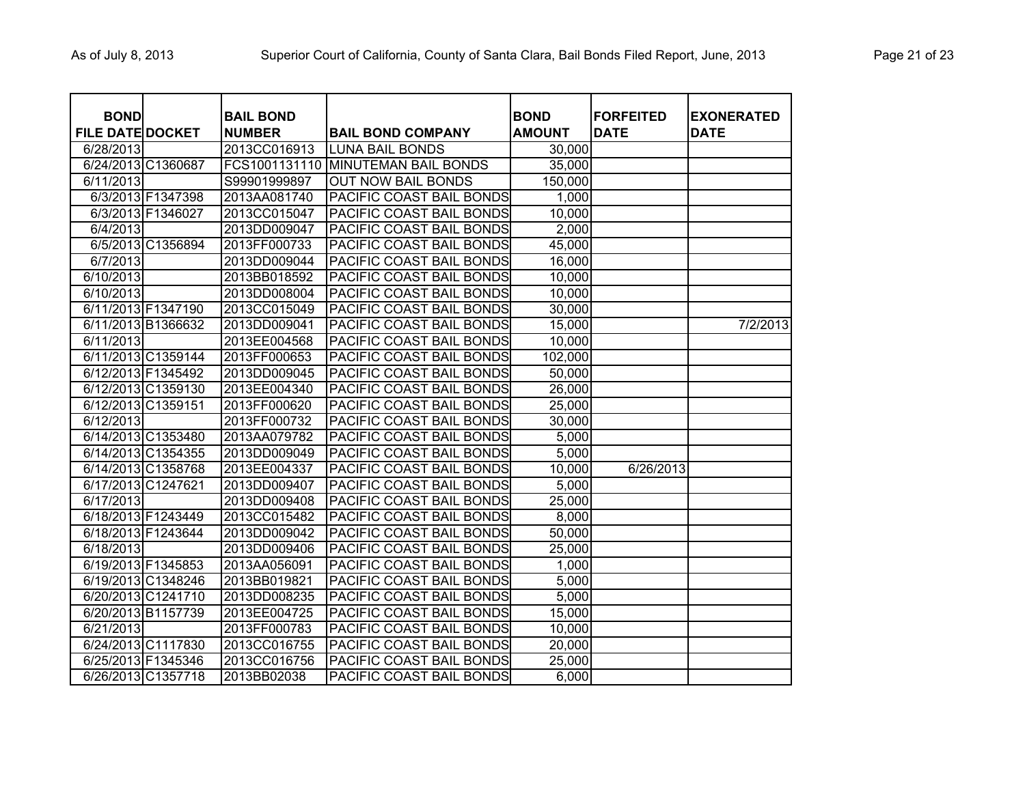| <b>BOND</b>             |                   | <b>BAIL BOND</b> |                                    | <b>BOND</b>   | <b>FORFEITED</b> | <b>EXONERATED</b> |
|-------------------------|-------------------|------------------|------------------------------------|---------------|------------------|-------------------|
| <b>FILE DATE DOCKET</b> |                   | <b>NUMBER</b>    | <b>BAIL BOND COMPANY</b>           | <b>AMOUNT</b> | <b>DATE</b>      | <b>DATE</b>       |
| 6/28/2013               |                   | 2013CC016913     | <b>LUNA BAIL BONDS</b>             | 30,000        |                  |                   |
| 6/24/2013 C1360687      |                   |                  | FCS1001131110 MINUTEMAN BAIL BONDS | 35,000        |                  |                   |
| 6/11/2013               |                   | S99901999897     | <b>OUT NOW BAIL BONDS</b>          | 150,000       |                  |                   |
|                         | 6/3/2013 F1347398 | 2013AA081740     | PACIFIC COAST BAIL BONDS           | 1,000         |                  |                   |
|                         | 6/3/2013 F1346027 | 2013CC015047     | PACIFIC COAST BAIL BONDS           | 10,000        |                  |                   |
| 6/4/2013                |                   | 2013DD009047     | PACIFIC COAST BAIL BONDS           | 2,000         |                  |                   |
|                         | 6/5/2013 C1356894 | 2013FF000733     | PACIFIC COAST BAIL BONDS           | 45,000        |                  |                   |
| 6/7/2013                |                   | 2013DD009044     | PACIFIC COAST BAIL BONDS           | 16,000        |                  |                   |
| 6/10/2013               |                   | 2013BB018592     | PACIFIC COAST BAIL BONDS           | 10,000        |                  |                   |
| 6/10/2013               |                   | 2013DD008004     | PACIFIC COAST BAIL BONDS           | 10,000        |                  |                   |
| 6/11/2013 F1347190      |                   | 2013CC015049     | PACIFIC COAST BAIL BONDS           | 30,000        |                  |                   |
| 6/11/2013 B1366632      |                   | 2013DD009041     | PACIFIC COAST BAIL BONDS           | 15,000        |                  | 7/2/2013          |
| 6/11/2013               |                   | 2013EE004568     | PACIFIC COAST BAIL BONDS           | 10,000        |                  |                   |
| 6/11/2013 C1359144      |                   | 2013FF000653     | PACIFIC COAST BAIL BONDS           | 102,000       |                  |                   |
| 6/12/2013 F1345492      |                   | 2013DD009045     | PACIFIC COAST BAIL BONDS           | 50,000        |                  |                   |
| 6/12/2013 C1359130      |                   | 2013EE004340     | PACIFIC COAST BAIL BONDS           | 26,000        |                  |                   |
| 6/12/2013 C1359151      |                   | 2013FF000620     | PACIFIC COAST BAIL BONDS           | 25,000        |                  |                   |
| 6/12/2013               |                   | 2013FF000732     | PACIFIC COAST BAIL BONDS           | 30,000        |                  |                   |
| 6/14/2013 C1353480      |                   | 2013AA079782     | PACIFIC COAST BAIL BONDS           | 5,000         |                  |                   |
| 6/14/2013 C1354355      |                   | 2013DD009049     | PACIFIC COAST BAIL BONDS           | 5,000         |                  |                   |
| 6/14/2013 C1358768      |                   | 2013EE004337     | PACIFIC COAST BAIL BONDS           | 10,000        | 6/26/2013        |                   |
| 6/17/2013 C1247621      |                   | 2013DD009407     | PACIFIC COAST BAIL BONDS           | 5,000         |                  |                   |
| 6/17/2013               |                   | 2013DD009408     | PACIFIC COAST BAIL BONDS           | 25,000        |                  |                   |
| 6/18/2013 F1243449      |                   | 2013CC015482     | PACIFIC COAST BAIL BONDS           | 8,000         |                  |                   |
| 6/18/2013 F1243644      |                   | 2013DD009042     | PACIFIC COAST BAIL BONDS           | 50,000        |                  |                   |
| 6/18/2013               |                   | 2013DD009406     | PACIFIC COAST BAIL BONDS           | 25,000        |                  |                   |
| 6/19/2013 F1345853      |                   | 2013AA056091     | PACIFIC COAST BAIL BONDS           | 1,000         |                  |                   |
| 6/19/2013 C1348246      |                   | 2013BB019821     | PACIFIC COAST BAIL BONDS           | 5,000         |                  |                   |
| 6/20/2013 C1241710      |                   | 2013DD008235     | PACIFIC COAST BAIL BONDS           | 5,000         |                  |                   |
| 6/20/2013 B1157739      |                   | 2013EE004725     | PACIFIC COAST BAIL BONDS           | 15,000        |                  |                   |
| 6/21/2013               |                   | 2013FF000783     | PACIFIC COAST BAIL BONDS           | 10,000        |                  |                   |
| 6/24/2013 C1117830      |                   | 2013CC016755     | PACIFIC COAST BAIL BONDS           | 20,000        |                  |                   |
| 6/25/2013 F1345346      |                   | 2013CC016756     | PACIFIC COAST BAIL BONDS           | 25,000        |                  |                   |
| 6/26/2013 C1357718      |                   | 2013BB02038      | PACIFIC COAST BAIL BONDS           | 6,000         |                  |                   |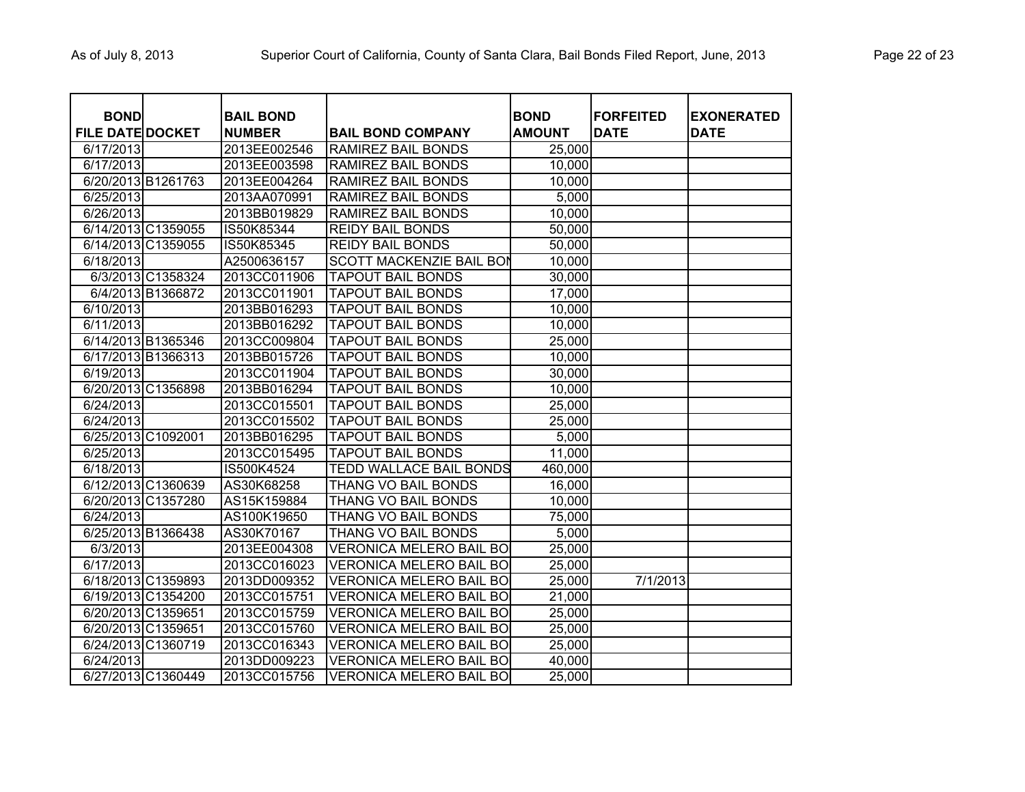| <b>BOND</b>             |                    | <b>BAIL BOND</b> |                                 | <b>BOND</b>   | <b>FORFEITED</b> | <b>EXONERATED</b> |
|-------------------------|--------------------|------------------|---------------------------------|---------------|------------------|-------------------|
| <b>FILE DATE DOCKET</b> |                    | <b>NUMBER</b>    | <b>BAIL BOND COMPANY</b>        | <b>AMOUNT</b> | <b>DATE</b>      | <b>DATE</b>       |
| 6/17/2013               |                    | 2013EE002546     | <b>RAMIREZ BAIL BONDS</b>       | 25,000        |                  |                   |
| 6/17/2013               |                    | 2013EE003598     | <b>RAMIREZ BAIL BONDS</b>       | 10,000        |                  |                   |
| 6/20/2013 B1261763      |                    | 2013EE004264     | <b>RAMIREZ BAIL BONDS</b>       | 10,000        |                  |                   |
| 6/25/2013               |                    | 2013AA070991     | <b>RAMIREZ BAIL BONDS</b>       | 5,000         |                  |                   |
| 6/26/2013               |                    | 2013BB019829     | <b>RAMIREZ BAIL BONDS</b>       | 10,000        |                  |                   |
|                         | 6/14/2013 C1359055 | IS50K85344       | <b>REIDY BAIL BONDS</b>         | 50,000        |                  |                   |
|                         | 6/14/2013 C1359055 | IS50K85345       | <b>REIDY BAIL BONDS</b>         | 50,000        |                  |                   |
| 6/18/2013               |                    | A2500636157      | <b>SCOTT MACKENZIE BAIL BON</b> | 10,000        |                  |                   |
|                         | 6/3/2013 C1358324  | 2013CC011906     | <b>TAPOUT BAIL BONDS</b>        | 30,000        |                  |                   |
|                         | 6/4/2013 B1366872  | 2013CC011901     | <b>TAPOUT BAIL BONDS</b>        | 17,000        |                  |                   |
| 6/10/2013               |                    | 2013BB016293     | <b>TAPOUT BAIL BONDS</b>        | 10,000        |                  |                   |
| 6/11/2013               |                    | 2013BB016292     | <b>TAPOUT BAIL BONDS</b>        | 10,000        |                  |                   |
|                         | 6/14/2013 B1365346 | 2013CC009804     | <b>TAPOUT BAIL BONDS</b>        | 25,000        |                  |                   |
|                         | 6/17/2013 B1366313 | 2013BB015726     | <b>TAPOUT BAIL BONDS</b>        | 10,000        |                  |                   |
| 6/19/2013               |                    | 2013CC011904     | <b>TAPOUT BAIL BONDS</b>        | 30,000        |                  |                   |
|                         | 6/20/2013 C1356898 | 2013BB016294     | <b>TAPOUT BAIL BONDS</b>        | 10,000        |                  |                   |
| 6/24/2013               |                    | 2013CC015501     | <b>TAPOUT BAIL BONDS</b>        | 25,000        |                  |                   |
| 6/24/2013               |                    | 2013CC015502     | <b>TAPOUT BAIL BONDS</b>        | 25,000        |                  |                   |
| 6/25/2013 C1092001      |                    | 2013BB016295     | <b>TAPOUT BAIL BONDS</b>        | 5,000         |                  |                   |
| 6/25/2013               |                    | 2013CC015495     | <b>TAPOUT BAIL BONDS</b>        | 11,000        |                  |                   |
| 6/18/2013               |                    | IS500K4524       | <b>TEDD WALLACE BAIL BONDS</b>  | 460,000       |                  |                   |
|                         | 6/12/2013 C1360639 | AS30K68258       | THANG VO BAIL BONDS             | 16,000        |                  |                   |
|                         | 6/20/2013 C1357280 | AS15K159884      | THANG VO BAIL BONDS             | 10,000        |                  |                   |
| 6/24/2013               |                    | AS100K19650      | THANG VO BAIL BONDS             | 75,000        |                  |                   |
|                         | 6/25/2013 B1366438 | AS30K70167       | THANG VO BAIL BONDS             | 5,000         |                  |                   |
| 6/3/2013                |                    | 2013EE004308     | <b>VERONICA MELERO BAIL BO</b>  | 25,000        |                  |                   |
| 6/17/2013               |                    | 2013CC016023     | VERONICA MELERO BAIL BO         | 25,000        |                  |                   |
|                         | 6/18/2013 C1359893 | 2013DD009352     | <b>VERONICA MELERO BAIL BO</b>  | 25,000        | 7/1/2013         |                   |
|                         | 6/19/2013 C1354200 | 2013CC015751     | <b>VERONICA MELERO BAIL BO</b>  | 21,000        |                  |                   |
| 6/20/2013 C1359651      |                    | 2013CC015759     | <b>VERONICA MELERO BAIL BO</b>  | 25,000        |                  |                   |
| 6/20/2013 C1359651      |                    | 2013CC015760     | <b>VERONICA MELERO BAIL BO</b>  | 25,000        |                  |                   |
|                         | 6/24/2013 C1360719 | 2013CC016343     | <b>VERONICA MELERO BAIL BO</b>  | 25,000        |                  |                   |
| 6/24/2013               |                    | 2013DD009223     | <b>VERONICA MELERO BAIL BO</b>  | 40,000        |                  |                   |
|                         | 6/27/2013 C1360449 | 2013CC015756     | VERONICA MELERO BAIL BO         | 25,000        |                  |                   |